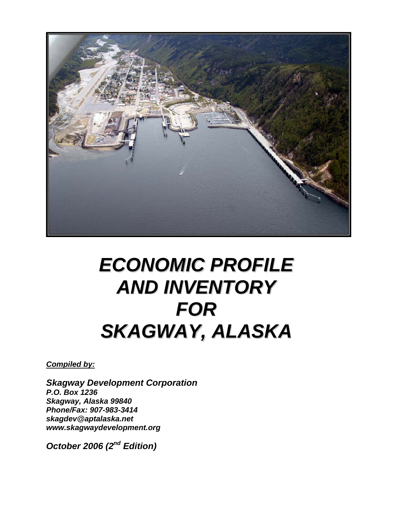

# *ECONOMIC PROFILE AND INVENTORY FOR SKAGWAY, ALASKA*

*Compiled by:*

*Skagway Development Corporation P.O. Box 1236 Skagway, Alaska 99840 Phone/Fax: 907-983-3414 skagdev@aptalaska.net www.skagwaydevelopment.org* 

*October 2006 (2nd Edition)*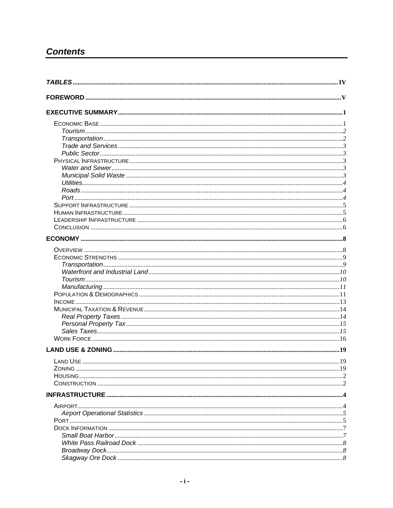# **Contents**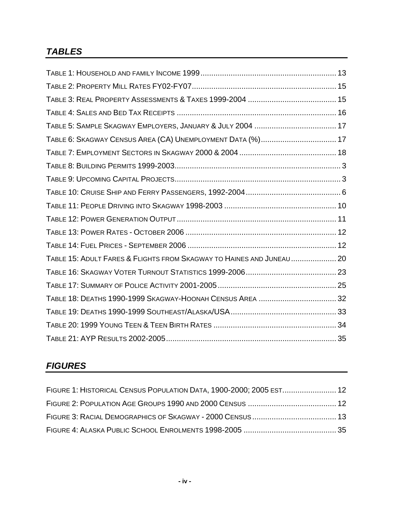# <span id="page-4-0"></span>*TABLES*

| TABLE 6: SKAGWAY CENSUS AREA (CA) UNEMPLOYMENT DATA (%) 17            |  |
|-----------------------------------------------------------------------|--|
|                                                                       |  |
|                                                                       |  |
|                                                                       |  |
|                                                                       |  |
|                                                                       |  |
|                                                                       |  |
|                                                                       |  |
|                                                                       |  |
| TABLE 15: ADULT FARES & FLIGHTS FROM SKAGWAY TO HAINES AND JUNEAU  20 |  |
|                                                                       |  |
|                                                                       |  |
|                                                                       |  |
|                                                                       |  |
|                                                                       |  |
|                                                                       |  |

# *FIGURES*

| FIGURE 1: HISTORICAL CENSUS POPULATION DATA, 1900-2000; 2005 EST 12 |  |
|---------------------------------------------------------------------|--|
|                                                                     |  |
|                                                                     |  |
|                                                                     |  |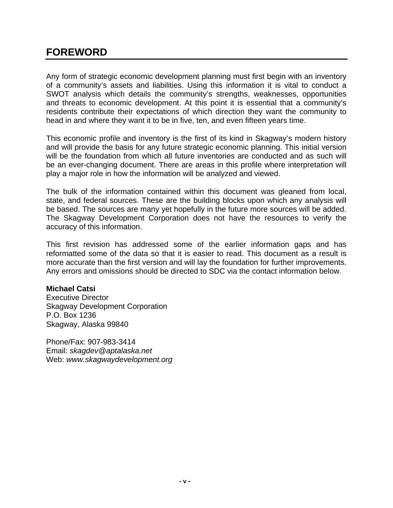# <span id="page-5-0"></span>**FOREWORD**

Any form of strategic economic development planning must first begin with an inventory of a community's assets and liabilities. Using this information it is vital to conduct a SWOT analysis which details the community's strengths, weaknesses, opportunities and threats to economic development. At this point it is essential that a community's residents contribute their expectations of which direction they want the community to head in and where they want it to be in five, ten, and even fifteen years time.

This economic profile and inventory is the first of its kind in Skagway's modern history and will provide the basis for any future strategic economic planning. This initial version will be the foundation from which all future inventories are conducted and as such will be an ever-changing document. There are areas in this profile where interpretation will play a major role in how the information will be analyzed and viewed.

The bulk of the information contained within this document was gleaned from local, state, and federal sources. These are the building blocks upon which any analysis will be based. The sources are many yet hopefully in the future more sources will be added. The Skagway Development Corporation does not have the resources to verify the accuracy of this information.

This first revision has addressed some of the earlier information gaps and has reformatted some of the data so that it is easier to read. This document as a result is more accurate than the first version and will lay the foundation for further improvements. Any errors and omissions should be directed to SDC via the contact information below.

#### **Michael Catsi**

Executive Director Skagway Development Corporation P.O. Box 1236 Skagway, Alaska 99840

Phone/Fax: 907-983-3414 Email: *skagdev@aptalaska.net* Web: *www.skagwaydevelopment.org*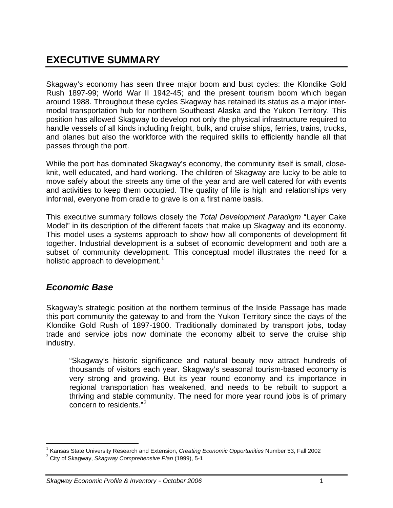# <span id="page-6-0"></span>**EXECUTIVE SUMMARY**

Skagway's economy has seen three major boom and bust cycles: the Klondike Gold Rush 1897-99; World War II 1942-45; and the present tourism boom which began around 1988. Throughout these cycles Skagway has retained its status as a major intermodal transportation hub for northern Southeast Alaska and the Yukon Territory. This position has allowed Skagway to develop not only the physical infrastructure required to handle vessels of all kinds including freight, bulk, and cruise ships, ferries, trains, trucks, and planes but also the workforce with the required skills to efficiently handle all that passes through the port.

While the port has dominated Skagway's economy, the community itself is small, closeknit, well educated, and hard working. The children of Skagway are lucky to be able to move safely about the streets any time of the year and are well catered for with events and activities to keep them occupied. The quality of life is high and relationships very informal, everyone from cradle to grave is on a first name basis.

This executive summary follows closely the *Total Development Paradigm* "Layer Cake Model" in its description of the different facets that make up Skagway and its economy. This model uses a systems approach to show how all components of development fit together. Industrial development is a subset of economic development and both are a subset of community development. This conceptual model illustrates the need for a holistic approach to development.<sup>[1](#page-6-1)</sup>

# *Economic Base*

 $\overline{a}$ 

Skagway's strategic position at the northern terminus of the Inside Passage has made this port community the gateway to and from the Yukon Territory since the days of the Klondike Gold Rush of 1897-1900. Traditionally dominated by transport jobs, today trade and service jobs now dominate the economy albeit to serve the cruise ship industry.

"Skagway's historic significance and natural beauty now attract hundreds of thousands of visitors each year. Skagway's seasonal tourism-based economy is very strong and growing. But its year round economy and its importance in regional transportation has weakened, and needs to be rebuilt to support a thriving and stable community. The need for more year round jobs is of primary concern to residents."[2](#page-6-2)

<span id="page-6-1"></span><sup>1</sup> Kansas State University Research and Extension, *Creating Economic Opportunities* Number 53, Fall 2002

<span id="page-6-2"></span><sup>2</sup> City of Skagway, *Skagway Comprehensive Plan* (1999), 5-1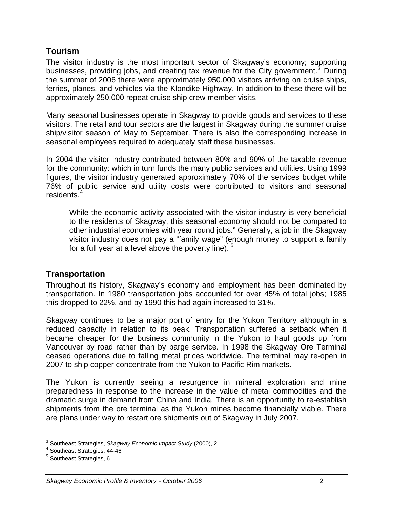#### <span id="page-7-0"></span>**Tourism**

The visitor industry is the most important sector of Skagway's economy; supporting businesses, providing jobs, and creating tax revenue for the City government.<sup>[3](#page-7-1)</sup> During the summer of 2006 there were approximately 950,000 visitors arriving on cruise ships, ferries, planes, and vehicles via the Klondike Highway. In addition to these there will be approximately 250,000 repeat cruise ship crew member visits.

Many seasonal businesses operate in Skagway to provide goods and services to these visitors. The retail and tour sectors are the largest in Skagway during the summer cruise ship/visitor season of May to September. There is also the corresponding increase in seasonal employees required to adequately staff these businesses.

In 2004 the visitor industry contributed between 80% and 90% of the taxable revenue for the community: which in turn funds the many public services and utilities. Using 1999 figures, the visitor industry generated approximately 70% of the services budget while 76% of public service and utility costs were contributed to visitors and seasonal residents.<sup>[4](#page-7-2)</sup>

While the economic activity associated with the visitor industry is very beneficial to the residents of Skagway, this seasonal economy should not be compared to other industrial economies with year round jobs." Generally, a job in the Skagway visitor industry does not pay a "family wage" (enough money to support a family for a full year at a level above the poverty line).  $5$ 

#### **Transportation**

Throughout its history, Skagway's economy and employment has been dominated by transportation. In 1980 transportation jobs accounted for over 45% of total jobs; 1985 this dropped to 22%, and by 1990 this had again increased to 31%.

Skagway continues to be a major port of entry for the Yukon Territory although in a reduced capacity in relation to its peak. Transportation suffered a setback when it became cheaper for the business community in the Yukon to haul goods up from Vancouver by road rather than by barge service. In 1998 the Skagway Ore Terminal ceased operations due to falling metal prices worldwide. The terminal may re-open in 2007 to ship copper concentrate from the Yukon to Pacific Rim markets.

The Yukon is currently seeing a resurgence in mineral exploration and mine preparedness in response to the increase in the value of metal commodities and the dramatic surge in demand from China and India. There is an opportunity to re-establish shipments from the ore terminal as the Yukon mines become financially viable. There are plans under way to restart ore shipments out of Skagway in July 2007.

 $\overline{a}$ 

<span id="page-7-1"></span><sup>3</sup> Southeast Strategies, *Skagway Economic Impact Study* (2000), 2.

<span id="page-7-2"></span><sup>4</sup> Southeast Strategies, 44-46

<span id="page-7-3"></span> $<sup>5</sup>$  Southeast Strategies, 6</sup>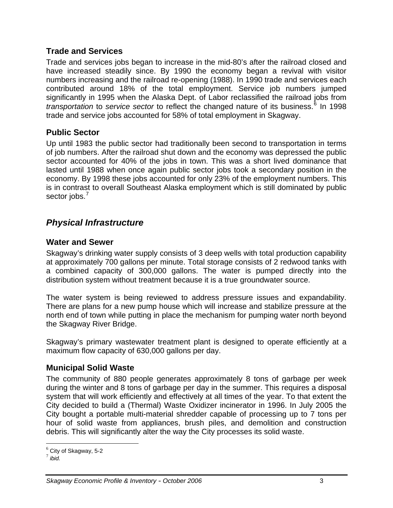#### <span id="page-8-0"></span>**Trade and Services**

Trade and services jobs began to increase in the mid-80's after the railroad closed and have increased steadily since. By 1990 the economy began a revival with visitor numbers increasing and the railroad re-opening (1988). In 1990 trade and services each contributed around 18% of the total employment. Service job numbers jumped significantly in 1995 when the Alaska Dept. of Labor reclassified the railroad jobs from transportation to service sector to reflect the changed nature of its business.<sup>[6](#page-8-1)</sup> In 1998 trade and service jobs accounted for 58% of total employment in Skagway.

#### **Public Sector**

Up until 1983 the public sector had traditionally been second to transportation in terms of job numbers. After the railroad shut down and the economy was depressed the public sector accounted for 40% of the jobs in town. This was a short lived dominance that lasted until 1988 when once again public sector jobs took a secondary position in the economy. By 1998 these jobs accounted for only 23% of the employment numbers. This is in contrast to overall Southeast Alaska employment which is still dominated by public sector jobs.<sup>[7](#page-8-2)</sup>

## *Physical Infrastructure*

#### **Water and Sewer**

Skagway's drinking water supply consists of 3 deep wells with total production capability at approximately 700 gallons per minute. Total storage consists of 2 redwood tanks with a combined capacity of 300,000 gallons. The water is pumped directly into the distribution system without treatment because it is a true groundwater source.

The water system is being reviewed to address pressure issues and expandability. There are plans for a new pump house which will increase and stabilize pressure at the north end of town while putting in place the mechanism for pumping water north beyond the Skagway River Bridge.

Skagway's primary wastewater treatment plant is designed to operate efficiently at a maximum flow capacity of 630,000 gallons per day.

#### **Municipal Solid Waste**

The community of 880 people generates approximately 8 tons of garbage per week during the winter and 8 tons of garbage per day in the summer. This requires a disposal system that will work efficiently and effectively at all times of the year. To that extent the City decided to build a (Thermal) Waste Oxidizer incinerator in 1996. In July 2005 the City bought a portable multi-material shredder capable of processing up to 7 tons per hour of solid waste from appliances, brush piles, and demolition and construction debris. This will significantly alter the way the City processes its solid waste.

 $\overline{a}$ 

<span id="page-8-1"></span> $6$  City of Skagway, 5-2

<span id="page-8-2"></span><sup>7</sup> *ibid.*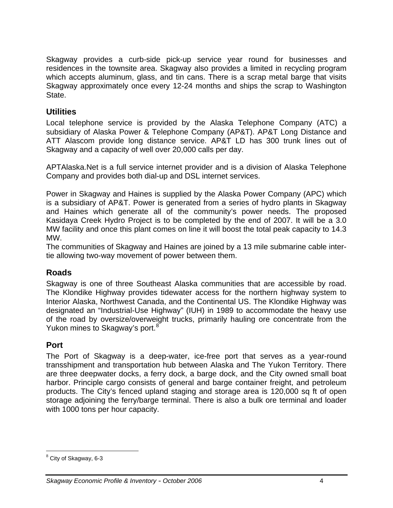<span id="page-9-0"></span>Skagway provides a curb-side pick-up service year round for businesses and residences in the townsite area. Skagway also provides a limited in recycling program which accepts aluminum, glass, and tin cans. There is a scrap metal barge that visits Skagway approximately once every 12-24 months and ships the scrap to Washington State.

#### **Utilities**

Local telephone service is provided by the Alaska Telephone Company (ATC) a subsidiary of Alaska Power & Telephone Company (AP&T). AP&T Long Distance and ATT Alascom provide long distance service. AP&T LD has 300 trunk lines out of Skagway and a capacity of well over 20,000 calls per day.

APTAlaska.Net is a full service internet provider and is a division of Alaska Telephone Company and provides both dial-up and DSL internet services.

Power in Skagway and Haines is supplied by the Alaska Power Company (APC) which is a subsidiary of AP&T. Power is generated from a series of hydro plants in Skagway and Haines which generate all of the community's power needs. The proposed Kasidaya Creek Hydro Project is to be completed by the end of 2007. It will be a 3.0 MW facility and once this plant comes on line it will boost the total peak capacity to 14.3 MW.

The communities of Skagway and Haines are joined by a 13 mile submarine cable intertie allowing two-way movement of power between them.

## **Roads**

Skagway is one of three Southeast Alaska communities that are accessible by road. The Klondike Highway provides tidewater access for the northern highway system to Interior Alaska, Northwest Canada, and the Continental US. The Klondike Highway was designated an "Industrial-Use Highway" (IUH) in 1989 to accommodate the heavy use of the road by oversize/overweight trucks, primarily hauling ore concentrate from the Yukon mines to Skagway's port.<sup>[8](#page-9-1)</sup>

#### **Port**

 $\overline{a}$ 

The Port of Skagway is a deep-water, ice-free port that serves as a year-round transshipment and transportation hub between Alaska and The Yukon Territory. There are three deepwater docks, a ferry dock, a barge dock, and the City owned small boat harbor. Principle cargo consists of general and barge container freight, and petroleum products. The City's fenced upland staging and storage area is 120,000 sq ft of open storage adjoining the ferry/barge terminal. There is also a bulk ore terminal and loader with 1000 tons per hour capacity.

<span id="page-9-1"></span> $8$  City of Skagway, 6-3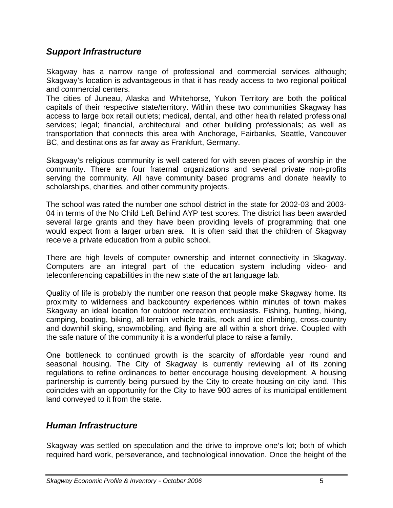## <span id="page-10-0"></span>*Support Infrastructure*

Skagway has a narrow range of professional and commercial services although; Skagway's location is advantageous in that it has ready access to two regional political and commercial centers.

The cities of Juneau, Alaska and Whitehorse, Yukon Territory are both the political capitals of their respective state/territory. Within these two communities Skagway has access to large box retail outlets; medical, dental, and other health related professional services; legal; financial, architectural and other building professionals; as well as transportation that connects this area with Anchorage, Fairbanks, Seattle, Vancouver BC, and destinations as far away as Frankfurt, Germany.

Skagway's religious community is well catered for with seven places of worship in the community. There are four fraternal organizations and several private non-profits serving the community. All have community based programs and donate heavily to scholarships, charities, and other community projects.

The school was rated the number one school district in the state for 2002-03 and 2003- 04 in terms of the No Child Left Behind AYP test scores. The district has been awarded several large grants and they have been providing levels of programming that one would expect from a larger urban area. It is often said that the children of Skagway receive a private education from a public school.

There are high levels of computer ownership and internet connectivity in Skagway. Computers are an integral part of the education system including video- and teleconferencing capabilities in the new state of the art language lab.

Quality of life is probably the number one reason that people make Skagway home. Its proximity to wilderness and backcountry experiences within minutes of town makes Skagway an ideal location for outdoor recreation enthusiasts. Fishing, hunting, hiking, camping, boating, biking, all-terrain vehicle trails, rock and ice climbing, cross-country and downhill skiing, snowmobiling, and flying are all within a short drive. Coupled with the safe nature of the community it is a wonderful place to raise a family.

One bottleneck to continued growth is the scarcity of affordable year round and seasonal housing. The City of Skagway is currently reviewing all of its zoning regulations to refine ordinances to better encourage housing development. A housing partnership is currently being pursued by the City to create housing on city land. This coincides with an opportunity for the City to have 900 acres of its municipal entitlement land conveyed to it from the state.

## *Human Infrastructure*

Skagway was settled on speculation and the drive to improve one's lot; both of which required hard work, perseverance, and technological innovation. Once the height of the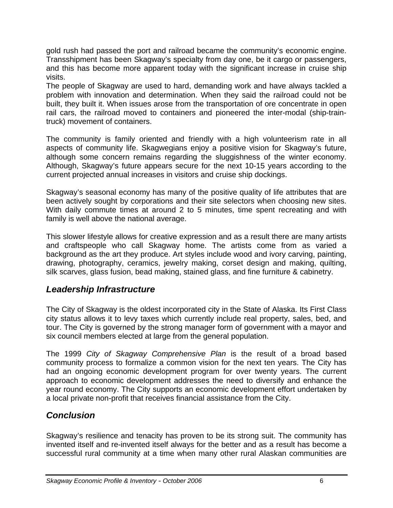<span id="page-11-0"></span>gold rush had passed the port and railroad became the community's economic engine. Transshipment has been Skagway's specialty from day one, be it cargo or passengers, and this has become more apparent today with the significant increase in cruise ship visits.

The people of Skagway are used to hard, demanding work and have always tackled a problem with innovation and determination. When they said the railroad could not be built, they built it. When issues arose from the transportation of ore concentrate in open rail cars, the railroad moved to containers and pioneered the inter-modal (ship-traintruck) movement of containers.

The community is family oriented and friendly with a high volunteerism rate in all aspects of community life. Skagwegians enjoy a positive vision for Skagway's future, although some concern remains regarding the sluggishness of the winter economy. Although, Skagway's future appears secure for the next 10-15 years according to the current projected annual increases in visitors and cruise ship dockings.

Skagway's seasonal economy has many of the positive quality of life attributes that are been actively sought by corporations and their site selectors when choosing new sites. With daily commute times at around 2 to 5 minutes, time spent recreating and with family is well above the national average.

This slower lifestyle allows for creative expression and as a result there are many artists and craftspeople who call Skagway home. The artists come from as varied a background as the art they produce. Art styles include wood and ivory carving, painting, drawing, photography, ceramics, jewelry making, corset design and making, quilting, silk scarves, glass fusion, bead making, stained glass, and fine furniture & cabinetry.

# *Leadership Infrastructure*

The City of Skagway is the oldest incorporated city in the State of Alaska. Its First Class city status allows it to levy taxes which currently include real property, sales, bed, and tour. The City is governed by the strong manager form of government with a mayor and six council members elected at large from the general population.

The 1999 *City of Skagway Comprehensive Plan* is the result of a broad based community process to formalize a common vision for the next ten years. The City has had an ongoing economic development program for over twenty years. The current approach to economic development addresses the need to diversify and enhance the year round economy. The City supports an economic development effort undertaken by a local private non-profit that receives financial assistance from the City.

# *Conclusion*

Skagway's resilience and tenacity has proven to be its strong suit. The community has invented itself and re-invented itself always for the better and as a result has become a successful rural community at a time when many other rural Alaskan communities are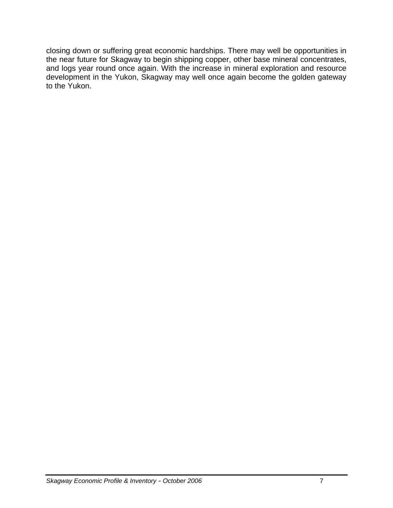closing down or suffering great economic hardships. There may well be opportunities in the near future for Skagway to begin shipping copper, other base mineral concentrates, and logs year round once again. With the increase in mineral exploration and resource development in the Yukon, Skagway may well once again become the golden gateway to the Yukon.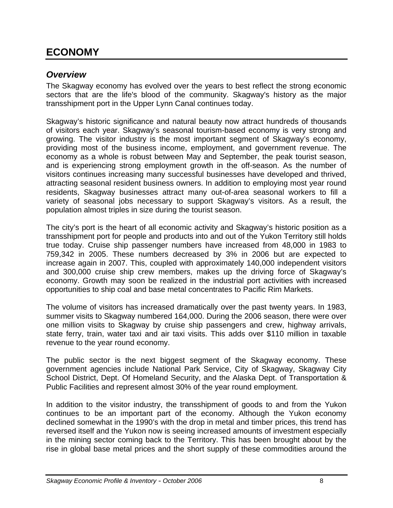# <span id="page-13-0"></span>**ECONOMY**

## *Overview*

The Skagway economy has evolved over the years to best reflect the strong economic sectors that are the life's blood of the community. Skagway's history as the major transshipment port in the Upper Lynn Canal continues today.

Skagway's historic significance and natural beauty now attract hundreds of thousands of visitors each year. Skagway's seasonal tourism-based economy is very strong and growing. The visitor industry is the most important segment of Skagway's economy, providing most of the business income, employment, and government revenue. The economy as a whole is robust between May and September, the peak tourist season, and is experiencing strong employment growth in the off-season. As the number of visitors continues increasing many successful businesses have developed and thrived, attracting seasonal resident business owners. In addition to employing most year round residents, Skagway businesses attract many out-of-area seasonal workers to fill a variety of seasonal jobs necessary to support Skagway's visitors. As a result, the population almost triples in size during the tourist season.

The city's port is the heart of all economic activity and Skagway's historic position as a transshipment port for people and products into and out of the Yukon Territory still holds true today. Cruise ship passenger numbers have increased from 48,000 in 1983 to 759,342 in 2005. These numbers decreased by 3% in 2006 but are expected to increase again in 2007. This, coupled with approximately 140,000 independent visitors and 300,000 cruise ship crew members, makes up the driving force of Skagway's economy. Growth may soon be realized in the industrial port activities with increased opportunities to ship coal and base metal concentrates to Pacific Rim Markets.

The volume of visitors has increased dramatically over the past twenty years. In 1983, summer visits to Skagway numbered 164,000. During the 2006 season, there were over one million visits to Skagway by cruise ship passengers and crew, highway arrivals, state ferry, train, water taxi and air taxi visits. This adds over \$110 million in taxable revenue to the year round economy.

The public sector is the next biggest segment of the Skagway economy. These government agencies include National Park Service, City of Skagway, Skagway City School District, Dept. Of Homeland Security, and the Alaska Dept. of Transportation & Public Facilities and represent almost 30% of the year round employment.

In addition to the visitor industry, the transshipment of goods to and from the Yukon continues to be an important part of the economy. Although the Yukon economy declined somewhat in the 1990's with the drop in metal and timber prices, this trend has reversed itself and the Yukon now is seeing increased amounts of investment especially in the mining sector coming back to the Territory. This has been brought about by the rise in global base metal prices and the short supply of these commodities around the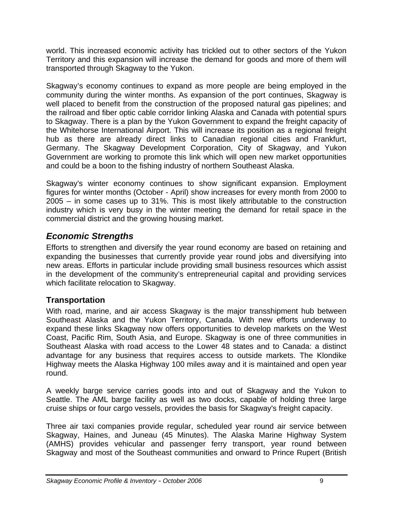<span id="page-14-0"></span>world. This increased economic activity has trickled out to other sectors of the Yukon Territory and this expansion will increase the demand for goods and more of them will transported through Skagway to the Yukon.

Skagway's economy continues to expand as more people are being employed in the community during the winter months. As expansion of the port continues, Skagway is well placed to benefit from the construction of the proposed natural gas pipelines; and the railroad and fiber optic cable corridor linking Alaska and Canada with potential spurs to Skagway. There is a plan by the Yukon Government to expand the freight capacity of the Whitehorse International Airport. This will increase its position as a regional freight hub as there are already direct links to Canadian regional cities and Frankfurt, Germany. The Skagway Development Corporation, City of Skagway, and Yukon Government are working to promote this link which will open new market opportunities and could be a boon to the fishing industry of northern Southeast Alaska.

Skagway's winter economy continues to show significant expansion. Employment figures for winter months (October - April) show increases for every month from 2000 to 2005 – in some cases up to 31%. This is most likely attributable to the construction industry which is very busy in the winter meeting the demand for retail space in the commercial district and the growing housing market.

# *Economic Strengths*

Efforts to strengthen and diversify the year round economy are based on retaining and expanding the businesses that currently provide year round jobs and diversifying into new areas. Efforts in particular include providing small business resources which assist in the development of the community's entrepreneurial capital and providing services which facilitate relocation to Skagway.

# **Transportation**

With road, marine, and air access Skagway is the major transshipment hub between Southeast Alaska and the Yukon Territory, Canada. With new efforts underway to expand these links Skagway now offers opportunities to develop markets on the West Coast, Pacific Rim, South Asia, and Europe. Skagway is one of three communities in Southeast Alaska with road access to the Lower 48 states and to Canada: a distinct advantage for any business that requires access to outside markets. The Klondike Highway meets the Alaska Highway 100 miles away and it is maintained and open year round.

A weekly barge service carries goods into and out of Skagway and the Yukon to Seattle. The AML barge facility as well as two docks, capable of holding three large cruise ships or four cargo vessels, provides the basis for Skagway's freight capacity.

Three air taxi companies provide regular, scheduled year round air service between Skagway, Haines, and Juneau (45 Minutes). The Alaska Marine Highway System (AMHS) provides vehicular and passenger ferry transport, year round between Skagway and most of the Southeast communities and onward to Prince Rupert (British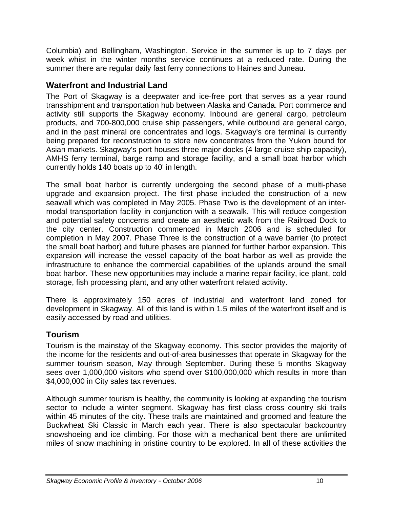<span id="page-15-0"></span>Columbia) and Bellingham, Washington. Service in the summer is up to 7 days per week whist in the winter months service continues at a reduced rate. During the summer there are regular daily fast ferry connections to Haines and Juneau.

## **Waterfront and Industrial Land**

The Port of Skagway is a deepwater and ice-free port that serves as a year round transshipment and transportation hub between Alaska and Canada. Port commerce and activity still supports the Skagway economy. Inbound are general cargo, petroleum products, and 700-800,000 cruise ship passengers, while outbound are general cargo, and in the past mineral ore concentrates and logs. Skagway's ore terminal is currently being prepared for reconstruction to store new concentrates from the Yukon bound for Asian markets. Skagway's port houses three major docks (4 large cruise ship capacity), AMHS ferry terminal, barge ramp and storage facility, and a small boat harbor which currently holds 140 boats up to 40' in length.

The small boat harbor is currently undergoing the second phase of a multi-phase upgrade and expansion project. The first phase included the construction of a new seawall which was completed in May 2005. Phase Two is the development of an intermodal transportation facility in conjunction with a seawalk. This will reduce congestion and potential safety concerns and create an aesthetic walk from the Railroad Dock to the city center. Construction commenced in March 2006 and is scheduled for completion in May 2007. Phase Three is the construction of a wave barrier (to protect the small boat harbor) and future phases are planned for further harbor expansion. This expansion will increase the vessel capacity of the boat harbor as well as provide the infrastructure to enhance the commercial capabilities of the uplands around the small boat harbor. These new opportunities may include a marine repair facility, ice plant, cold storage, fish processing plant, and any other waterfront related activity.

There is approximately 150 acres of industrial and waterfront land zoned for development in Skagway. All of this land is within 1.5 miles of the waterfront itself and is easily accessed by road and utilities.

# **Tourism**

Tourism is the mainstay of the Skagway economy. This sector provides the majority of the income for the residents and out-of-area businesses that operate in Skagway for the summer tourism season, May through September. During these 5 months Skagway sees over 1,000,000 visitors who spend over \$100,000,000 which results in more than \$4,000,000 in City sales tax revenues.

Although summer tourism is healthy, the community is looking at expanding the tourism sector to include a winter segment. Skagway has first class cross country ski trails within 45 minutes of the city. These trails are maintained and groomed and feature the Buckwheat Ski Classic in March each year. There is also spectacular backcountry snowshoeing and ice climbing. For those with a mechanical bent there are unlimited miles of snow machining in pristine country to be explored. In all of these activities the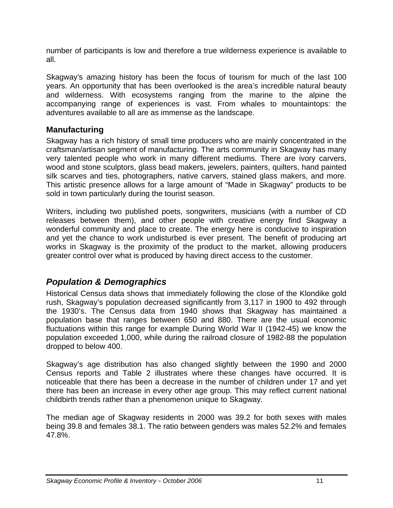<span id="page-16-0"></span>number of participants is low and therefore a true wilderness experience is available to all.

Skagway's amazing history has been the focus of tourism for much of the last 100 years. An opportunity that has been overlooked is the area's incredible natural beauty and wilderness. With ecosystems ranging from the marine to the alpine the accompanying range of experiences is vast. From whales to mountaintops: the adventures available to all are as immense as the landscape.

## **Manufacturing**

Skagway has a rich history of small time producers who are mainly concentrated in the craftsman/artisan segment of manufacturing. The arts community in Skagway has many very talented people who work in many different mediums. There are ivory carvers, wood and stone sculptors, glass bead makers, jewelers, painters, quilters, hand painted silk scarves and ties, photographers, native carvers, stained glass makers, and more. This artistic presence allows for a large amount of "Made in Skagway" products to be sold in town particularly during the tourist season.

Writers, including two published poets, songwriters, musicians (with a number of CD releases between them), and other people with creative energy find Skagway a wonderful community and place to create. The energy here is conducive to inspiration and yet the chance to work undisturbed is ever present. The benefit of producing art works in Skagway is the proximity of the product to the market, allowing producers greater control over what is produced by having direct access to the customer.

# *Population & Demographics*

Historical Census data shows that immediately following the close of the Klondike gold rush, Skagway's population decreased significantly from 3,117 in 1900 to 492 through the 1930's. The Census data from 1940 shows that Skagway has maintained a population base that ranges between 650 and 880. There are the usual economic fluctuations within this range for example During World War II (1942-45) we know the population exceeded 1,000, while during the railroad closure of 1982-88 the population dropped to below 400.

Skagway's age distribution has also changed slightly between the 1990 and 2000 Census reports and Table 2 illustrates where these changes have occurred. It is noticeable that there has been a decrease in the number of children under 17 and yet there has been an increase in every other age group. This may reflect current national childbirth trends rather than a phenomenon unique to Skagway.

The median age of Skagway residents in 2000 was 39.2 for both sexes with males being 39.8 and females 38.1. The ratio between genders was males 52.2% and females 47.8%.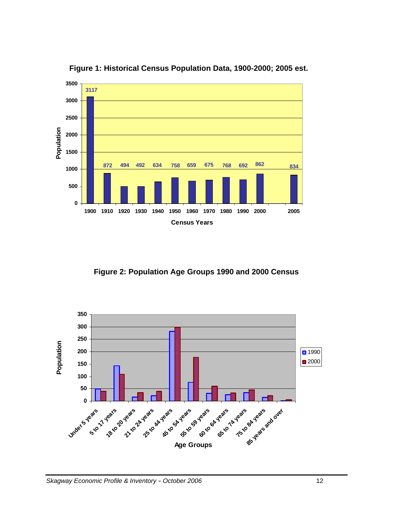<span id="page-17-0"></span>

**Figure 1: Historical Census Population Data, 1900-2000; 2005 est.** 

**Figure 2: Population Age Groups 1990 and 2000 Census** 

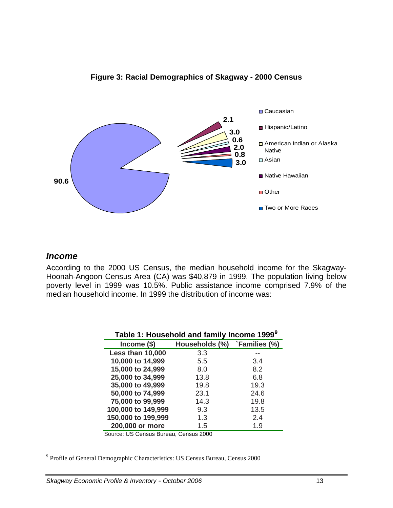<span id="page-18-0"></span>

**Figure 3: Racial Demographics of Skagway - 2000 Census** 

#### *Income*

 $\overline{a}$ 

According to the 2000 US Census, the median household income for the Skagway-Hoonah-Angoon Census Area (CA) was \$40,879 in 1999. The population living below poverty level in 1999 was 10.5%. Public assistance income comprised 7.9% of the median household income. In 1999 the distribution of income was:

| Table 1: Household and family Income 1999 <sup>9</sup> |                             |      |  |  |
|--------------------------------------------------------|-----------------------------|------|--|--|
| $lncome$ (\$)                                          | Households (%) Families (%) |      |  |  |
| Less than 10,000                                       | 3.3                         |      |  |  |
| 10,000 to 14,999                                       | 5.5                         | 3.4  |  |  |
| 15,000 to 24,999                                       | 8.0                         | 8.2  |  |  |
| 25,000 to 34,999                                       | 13.8                        | 6.8  |  |  |
| 35,000 to 49,999                                       | 19.8                        | 19.3 |  |  |
| 50,000 to 74,999                                       | 23.1                        | 24.6 |  |  |
| 75,000 to 99,999                                       | 14.3                        | 19.8 |  |  |
| 100,000 to 149,999                                     | 9.3                         | 13.5 |  |  |
| 150,000 to 199,999                                     | 1.3                         | 2.4  |  |  |
| 200,000 or more                                        | 1.5                         | 1.9  |  |  |

| Table 1: Household and family Income 1999 <sup>9</sup> |  |  |  |  |
|--------------------------------------------------------|--|--|--|--|
|                                                        |  |  |  |  |

Source: US Census Bureau, Census 2000

<span id="page-18-1"></span><sup>&</sup>lt;sup>9</sup> Profile of General Demographic Characteristics: US Census Bureau, Census 2000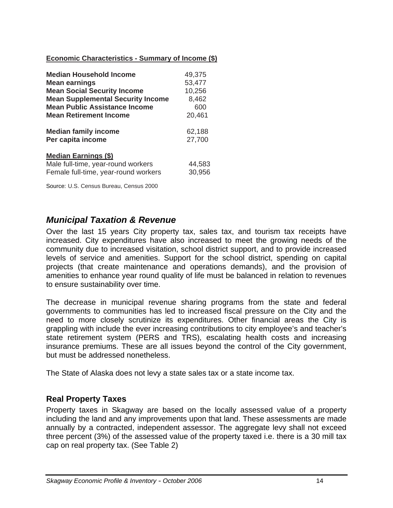<span id="page-19-0"></span>**Economic Characteristics - Summary of Income (\$)**

| Median Household Income                                                                                   | 49,375           |
|-----------------------------------------------------------------------------------------------------------|------------------|
| <b>Mean earnings</b>                                                                                      | 53,477           |
| <b>Mean Social Security Income</b>                                                                        | 10,256           |
| <b>Mean Supplemental Security Income</b>                                                                  | 8,462            |
| <b>Mean Public Assistance Income</b>                                                                      | 600              |
| <b>Mean Retirement Income</b>                                                                             | 20,461           |
| <b>Median family income</b>                                                                               | 62,188           |
| Per capita income                                                                                         | 27,700           |
| <b>Median Earnings (\$)</b><br>Male full-time, year-round workers<br>Female full-time, year-round workers | 44,583<br>30,956 |

Source: U.S. Census Bureau, Census 2000

## *Municipal Taxation & Revenue*

Over the last 15 years City property tax, sales tax, and tourism tax receipts have increased. City expenditures have also increased to meet the growing needs of the community due to increased visitation, school district support, and to provide increased levels of service and amenities. Support for the school district, spending on capital projects (that create maintenance and operations demands), and the provision of amenities to enhance year round quality of life must be balanced in relation to revenues to ensure sustainability over time.

The decrease in municipal revenue sharing programs from the state and federal governments to communities has led to increased fiscal pressure on the City and the need to more closely scrutinize its expenditures. Other financial areas the City is grappling with include the ever increasing contributions to city employee's and teacher's state retirement system (PERS and TRS), escalating health costs and increasing insurance premiums. These are all issues beyond the control of the City government, but must be addressed nonetheless.

The State of Alaska does not levy a state sales tax or a state income tax.

#### **Real Property Taxes**

Property taxes in Skagway are based on the locally assessed value of a property including the land and any improvements upon that land. These assessments are made annually by a contracted, independent assessor. The aggregate levy shall not exceed three percent (3%) of the assessed value of the property taxed i.e. there is a 30 mill tax cap on real property tax. (See Table 2)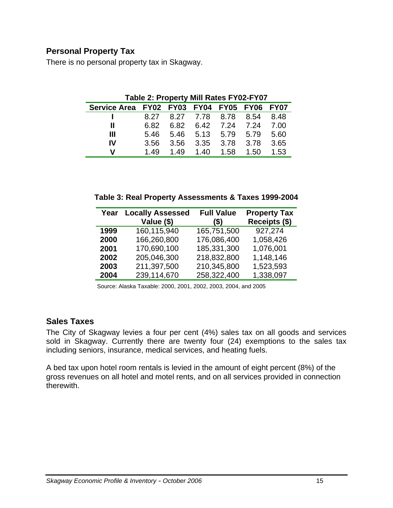# <span id="page-20-0"></span>**Personal Property Tax**

There is no personal property tax in Skagway.

| Table 2. Floperty will nates FIDZ-FIDT     |      |  |                               |  |  |  |
|--------------------------------------------|------|--|-------------------------------|--|--|--|
| Service Area FY02 FY03 FY04 FY05 FY06 FY07 |      |  |                               |  |  |  |
|                                            |      |  | 8.27 8.27 7.78 8.78 8.54 8.48 |  |  |  |
| Ш.                                         |      |  | 6.82 6.82 6.42 7.24 7.24 7.00 |  |  |  |
| Ш                                          |      |  | 5.46 5.46 5.13 5.79 5.79 5.60 |  |  |  |
| <b>IV</b>                                  | 3.56 |  | 3.56 3.35 3.78 3.78 3.65      |  |  |  |
| v                                          | 1.49 |  | 1.49  1.40  1.58  1.50  1.53  |  |  |  |

**Table 2: Property Mill Rates FY02-FY07** 

| Table 3: Real Property Assessments & Taxes 1999-2004 |  |  |
|------------------------------------------------------|--|--|
|------------------------------------------------------|--|--|

| Year | <b>Locally Assessed</b><br>Value (\$) | <b>Full Value</b><br>$($)$ | <b>Property Tax</b><br>Receipts (\$) |
|------|---------------------------------------|----------------------------|--------------------------------------|
|      |                                       |                            |                                      |
| 1999 | 160,115,940                           | 165,751,500                | 927,274                              |
| 2000 | 166,260,800                           | 176,086,400                | 1,058,426                            |
| 2001 | 170,690,100                           | 185,331,300                | 1,076,001                            |
| 2002 | 205,046,300                           | 218,832,800                | 1,148,146                            |
| 2003 | 211,397,500                           | 210,345,800                | 1,523,593                            |
| 2004 | 239,114,670                           | 258,322,400                | 1,338,097                            |

Source: Alaska Taxable: 2000, 2001, 2002, 2003, 2004, and 2005

#### **Sales Taxes**

The City of Skagway levies a four per cent (4%) sales tax on all goods and services sold in Skagway. Currently there are twenty four (24) exemptions to the sales tax including seniors, insurance, medical services, and heating fuels.

A bed tax upon hotel room rentals is levied in the amount of eight percent (8%) of the gross revenues on all hotel and motel rents, and on all services provided in connection therewith.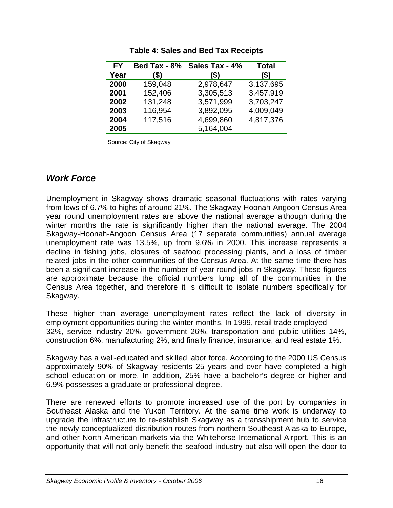<span id="page-21-0"></span>

| <b>FY</b> | Bed Tax - 8% | Sales Tax - 4% | <b>Total</b> |
|-----------|--------------|----------------|--------------|
| Year      | $($ \$)      | (\$)           | (\$)         |
| 2000      | 159,048      | 2,978,647      | 3,137,695    |
| 2001      | 152,406      | 3,305,513      | 3,457,919    |
| 2002      | 131,248      | 3,571,999      | 3,703,247    |
| 2003      | 116,954      | 3,892,095      | 4,009,049    |
| 2004      | 117,516      | 4,699,860      | 4,817,376    |
| 2005      |              | 5,164,004      |              |

**Table 4: Sales and Bed Tax Receipts** 

Source: City of Skagway

#### *Work Force*

Unemployment in Skagway shows dramatic seasonal fluctuations with rates varying from lows of 6.7% to highs of around 21%. The Skagway-Hoonah-Angoon Census Area year round unemployment rates are above the national average although during the winter months the rate is significantly higher than the national average. The 2004 Skagway-Hoonah-Angoon Census Area (17 separate communities) annual average unemployment rate was 13.5%, up from 9.6% in 2000. This increase represents a decline in fishing jobs, closures of seafood processing plants, and a loss of timber related jobs in the other communities of the Census Area. At the same time there has been a significant increase in the number of year round jobs in Skagway. These figures are approximate because the official numbers lump all of the communities in the Census Area together, and therefore it is difficult to isolate numbers specifically for Skagway.

These higher than average unemployment rates reflect the lack of diversity in employment opportunities during the winter months. In 1999, retail trade employed 32%, service industry 20%, government 26%, transportation and public utilities 14%, construction 6%, manufacturing 2%, and finally finance, insurance, and real estate 1%.

Skagway has a well-educated and skilled labor force. According to the 2000 US Census approximately 90% of Skagway residents 25 years and over have completed a high school education or more. In addition, 25% have a bachelor's degree or higher and 6.9% possesses a graduate or professional degree.

There are renewed efforts to promote increased use of the port by companies in Southeast Alaska and the Yukon Territory. At the same time work is underway to upgrade the infrastructure to re-establish Skagway as a transshipment hub to service the newly conceptualized distribution routes from northern Southeast Alaska to Europe, and other North American markets via the Whitehorse International Airport. This is an opportunity that will not only benefit the seafood industry but also will open the door to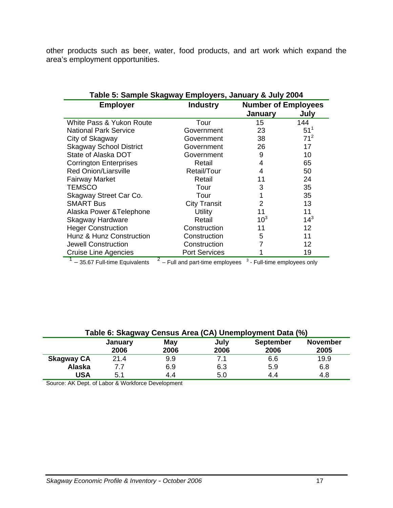<span id="page-22-0"></span>other products such as beer, water, food products, and art work which expand the area's employment opportunities.

| Table 5: Sample Skagway Employers, January & July 2004 |                      |                            |          |  |
|--------------------------------------------------------|----------------------|----------------------------|----------|--|
| <b>Employer</b>                                        | <b>Industry</b>      | <b>Number of Employees</b> |          |  |
|                                                        |                      | January                    | July     |  |
| White Pass & Yukon Route                               | Tour                 | 15                         | 144      |  |
| <b>National Park Service</b>                           | Government           | 23                         | $51^{1}$ |  |
| City of Skagway                                        | Government           | 38                         | $71^2$   |  |
| <b>Skagway School District</b>                         | Government           | 26                         | 17       |  |
| State of Alaska DOT                                    | Government           | 9                          | 10       |  |
| <b>Corrington Enterprises</b>                          | Retail               | 4                          | 65       |  |
| <b>Red Onion/Liarsville</b>                            | Retail/Tour          | 4                          | 50       |  |
| <b>Fairway Market</b>                                  | Retail               | 11                         | 24       |  |
| TEMSCO                                                 | Tour                 | 3                          | 35       |  |
| Skagway Street Car Co.                                 | Tour                 |                            | 35       |  |
| <b>SMART Bus</b>                                       | <b>City Transit</b>  | 2                          | 13       |  |
| Alaska Power & Telephone                               | <b>Utility</b>       | 11                         | 11       |  |
| <b>Skagway Hardware</b>                                | Retail               | 10 <sup>3</sup>            | $14^{3}$ |  |
| <b>Heger Construction</b>                              | Construction         | 11                         | 12       |  |
| Hunz & Hunz Construction                               | Construction         | 5                          | 11       |  |
| <b>Jewell Construction</b>                             | Construction         |                            | 12       |  |
| <b>Cruise Line Agencies</b><br>2                       | <b>Port Services</b> | $\sim$                     | 19       |  |

 $1 - 35.67$  Full-time Equivalents  $2 -$  Full and part-time employees  $3 -$  Full-time employees only

| Table 6: Skagway Census Area (CA) Unemployment Data (%) |                |      |      |                  |                 |
|---------------------------------------------------------|----------------|------|------|------------------|-----------------|
|                                                         | <b>January</b> | May  | July | <b>September</b> | <b>November</b> |
|                                                         | 2006           | 2006 | 2006 | 2006             | 2005            |
| <b>Skagway CA</b>                                       | 21.4           | 9.9  | 7.1  | 6.6              | 19.9            |
| Alaska                                                  | 7.7            | 6.9  | 6.3  | 5.9              | 6.8             |
| <b>USA</b>                                              | 5.1            | 4.4  | 5.0  | 4.4              | 4.8             |

Source: AK Dept. of Labor & Workforce Development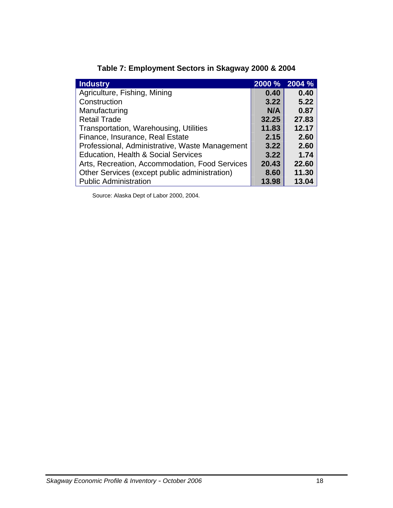<span id="page-23-0"></span>

| <b>Industry</b>                                |       | 2000 % 2004 % |
|------------------------------------------------|-------|---------------|
| Agriculture, Fishing, Mining                   | 0.40  | 0.40          |
| Construction                                   | 3.22  | 5.22          |
| Manufacturing                                  | N/A   | 0.87          |
| <b>Retail Trade</b>                            | 32.25 | 27.83         |
| Transportation, Warehousing, Utilities         | 11.83 | 12.17         |
| Finance, Insurance, Real Estate                | 2.15  | 2.60          |
| Professional, Administrative, Waste Management | 3.22  | 2.60          |
| Education, Health & Social Services            | 3.22  | 1.74          |
| Arts, Recreation, Accommodation, Food Services | 20.43 | 22.60         |
| Other Services (except public administration)  | 8.60  | 11.30         |
| <b>Public Administration</b>                   | 13.98 | 13.04         |

**Table 7: Employment Sectors in Skagway 2000 & 2004** 

Source: Alaska Dept of Labor 2000, 2004.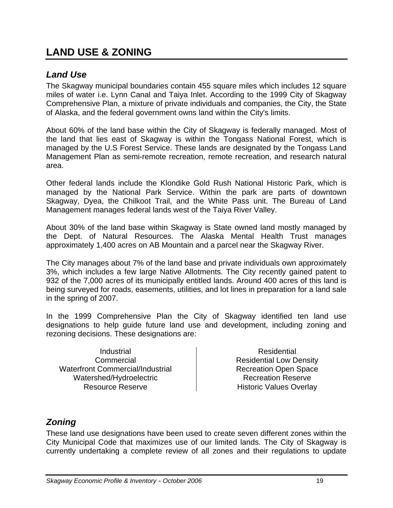# <span id="page-24-0"></span>**LAND USE & ZONING**

# *Land Use*

The Skagway municipal boundaries contain 455 square miles which includes 12 square miles of water i.e. Lynn Canal and Taiya Inlet. According to the 1999 City of Skagway Comprehensive Plan, a mixture of private individuals and companies, the City, the State of Alaska, and the federal government owns land within the City's limits.

About 60% of the land base within the City of Skagway is federally managed. Most of the land that lies east of Skagway is within the Tongass National Forest, which is managed by the U.S Forest Service. These lands are designated by the Tongass Land Management Plan as semi-remote recreation, remote recreation, and research natural area.

Other federal lands include the Klondike Gold Rush National Historic Park, which is managed by the National Park Service. Within the park are parts of downtown Skagway, Dyea, the Chilkoot Trail, and the White Pass unit. The Bureau of Land Management manages federal lands west of the Taiya River Valley.

About 30% of the land base within Skagway is State owned land mostly managed by the Dept. of Natural Resources. The Alaska Mental Health Trust manages approximately 1,400 acres on AB Mountain and a parcel near the Skagway River.

The City manages about 7% of the land base and private individuals own approximately 3%, which includes a few large Native Allotments. The City recently gained patent to 932 of the 7,000 acres of its municipally entitled lands. Around 400 acres of this land is being surveyed for roads, easements, utilities, and lot lines in preparation for a land sale in the spring of 2007.

In the 1999 Comprehensive Plan the City of Skagway identified ten land use designations to help guide future land use and development, including zoning and rezoning decisions. These designations are:

Industrial **Commercial** Waterfront Commercial/Industrial Watershed/Hydroelectric Resource Reserve

Residential Residential Low Density Recreation Open Space Recreation Reserve Historic Values Overlay

# *Zoning*

These land use designations have been used to create seven different zones within the City Municipal Code that maximizes use of our limited lands. The City of Skagway is currently undertaking a complete review of all zones and their regulations to update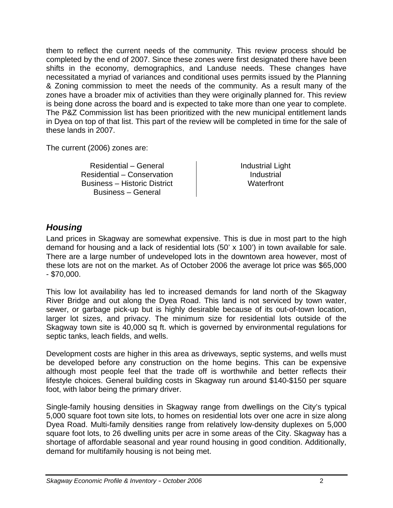<span id="page-25-0"></span>them to reflect the current needs of the community. This review process should be completed by the end of 2007. Since these zones were first designated there have been shifts in the economy, demographics, and Landuse needs. These changes have necessitated a myriad of variances and conditional uses permits issued by the Planning & Zoning commission to meet the needs of the community. As a result many of the zones have a broader mix of activities than they were originally planned for. This review is being done across the board and is expected to take more than one year to complete. The P&Z Commission list has been prioritized with the new municipal entitlement lands in Dyea on top of that list. This part of the review will be completed in time for the sale of these lands in 2007.

The current (2006) zones are:

Residential – General Residential – Conservation Business – Historic District Business – General

Industrial Light Industrial **Waterfront** 

# *Housing*

Land prices in Skagway are somewhat expensive. This is due in most part to the high demand for housing and a lack of residential lots (50' x 100') in town available for sale. There are a large number of undeveloped lots in the downtown area however, most of these lots are not on the market. As of October 2006 the average lot price was \$65,000 - \$70,000.

This low lot availability has led to increased demands for land north of the Skagway River Bridge and out along the Dyea Road. This land is not serviced by town water, sewer, or garbage pick-up but is highly desirable because of its out-of-town location, larger lot sizes, and privacy. The minimum size for residential lots outside of the Skagway town site is 40,000 sq ft. which is governed by environmental regulations for septic tanks, leach fields, and wells.

Development costs are higher in this area as driveways, septic systems, and wells must be developed before any construction on the home begins. This can be expensive although most people feel that the trade off is worthwhile and better reflects their lifestyle choices. General building costs in Skagway run around \$140-\$150 per square foot, with labor being the primary driver.

Single-family housing densities in Skagway range from dwellings on the City's typical 5,000 square foot town site lots, to homes on residential lots over one acre in size along Dyea Road. Multi-family densities range from relatively low-density duplexes on 5,000 square foot lots, to 26 dwelling units per acre in some areas of the City. Skagway has a shortage of affordable seasonal and year round housing in good condition. Additionally, demand for multifamily housing is not being met.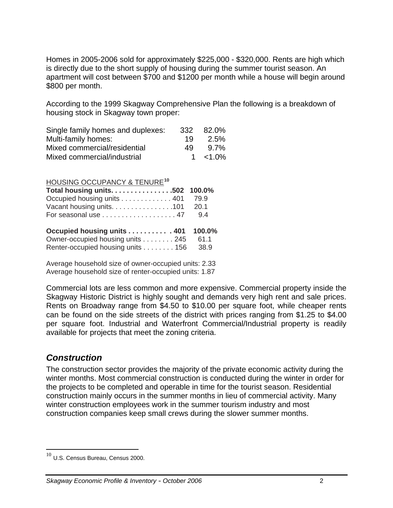<span id="page-26-0"></span>Homes in 2005-2006 sold for approximately \$225,000 - \$320,000. Rents are high which is directly due to the short supply of housing during the summer tourist season. An apartment will cost between \$700 and \$1200 per month while a house will begin around \$800 per month.

According to the 1999 Skagway Comprehensive Plan the following is a breakdown of housing stock in Skagway town proper:

| Single family homes and duplexes: | 332 | 82.0%     |
|-----------------------------------|-----|-----------|
| Multi-family homes:               | 19  | 2.5%      |
| Mixed commercial/residential      | 49  | $9.7\%$   |
| Mixed commercial/industrial       |     | $< 1.0\%$ |

HOUSING OCCUPANCY & TENURE**[10](#page-26-1) Total housing units. . . . . . . . . . . . . . . .502 100.0%**  Occupied housing units . . . . . . . . . . . . 401 79.9 Vacant housing units. . . . . . . . . . . . . . . .101 20.1 For seasonal use . . . . . . . . . . . . . . . . . 47 9.4 **Occupied housing units . . . . . . . . . . . 401 100.0%**  Owner-occupied housing units . . . . . . . . 245 61.1 Renter-occupied housing units . . . . . . . . 156 38.9

Average household size of owner-occupied units: 2.33 Average household size of renter-occupied units: 1.87

Commercial lots are less common and more expensive. Commercial property inside the Skagway Historic District is highly sought and demands very high rent and sale prices. Rents on Broadway range from \$4.50 to \$10.00 per square foot, while cheaper rents can be found on the side streets of the district with prices ranging from \$1.25 to \$4.00 per square foot. Industrial and Waterfront Commercial/Industrial property is readily available for projects that meet the zoning criteria.

# *Construction*

 $\overline{a}$ 

The construction sector provides the majority of the private economic activity during the winter months. Most commercial construction is conducted during the winter in order for the projects to be completed and operable in time for the tourist season. Residential construction mainly occurs in the summer months in lieu of commercial activity. Many winter construction employees work in the summer tourism industry and most construction companies keep small crews during the slower summer months.

<span id="page-26-1"></span><sup>10</sup> U.S. Census Bureau, Census 2000.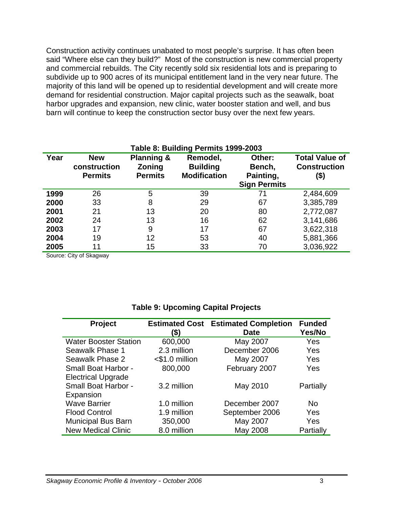<span id="page-27-0"></span>Construction activity continues unabated to most people's surprise. It has often been said "Where else can they build?" Most of the construction is new commercial property and commercial rebuilds. The City recently sold six residential lots and is preparing to subdivide up to 900 acres of its municipal entitlement land in the very near future. The majority of this land will be opened up to residential development and will create more demand for residential construction. Major capital projects such as the seawalk, boat harbor upgrades and expansion, new clinic, water booster station and well, and bus barn will continue to keep the construction sector busy over the next few years.

|      | Table 8: Building Permits 1999-2003          |                                                   |                                                    |                                                      |                                                      |
|------|----------------------------------------------|---------------------------------------------------|----------------------------------------------------|------------------------------------------------------|------------------------------------------------------|
| Year | <b>New</b><br>construction<br><b>Permits</b> | <b>Planning &amp;</b><br>Zoning<br><b>Permits</b> | Remodel,<br><b>Building</b><br><b>Modification</b> | Other:<br>Bench,<br>Painting,<br><b>Sign Permits</b> | <b>Total Value of</b><br><b>Construction</b><br>(\$) |
| 1999 | 26                                           | 5                                                 | 39                                                 | 71                                                   | 2,484,609                                            |
| 2000 | 33                                           | 8                                                 | 29                                                 | 67                                                   | 3,385,789                                            |
| 2001 | 21                                           | 13                                                | 20                                                 | 80                                                   | 2,772,087                                            |
| 2002 | 24                                           | 13                                                | 16                                                 | 62                                                   | 3,141,686                                            |
| 2003 | 17                                           | 9                                                 | 17                                                 | 67                                                   | 3,622,318                                            |
| 2004 | 19                                           | 12                                                | 53                                                 | 40                                                   | 5,881,366                                            |
| 2005 | 11                                           | 15                                                | 33                                                 | 70                                                   | 3,036,922                                            |

Source: City of Skagway

#### **Table 9: Upcoming Capital Projects**

| Project                      | (\$)           | <b>Estimated Cost Estimated Completion</b><br><b>Date</b> | <b>Funded</b><br>Yes/No |
|------------------------------|----------------|-----------------------------------------------------------|-------------------------|
| <b>Water Booster Station</b> | 600,000        | May 2007                                                  | Yes                     |
| Seawalk Phase 1              | 2.3 million    | December 2006                                             | Yes                     |
| Seawalk Phase 2              | <\$1.0 million | May 2007                                                  | Yes                     |
| Small Boat Harbor -          | 800,000        | February 2007                                             | Yes                     |
| <b>Electrical Upgrade</b>    |                |                                                           |                         |
| Small Boat Harbor -          | 3.2 million    | May 2010                                                  | Partially               |
| Expansion                    |                |                                                           |                         |
| <b>Wave Barrier</b>          | 1.0 million    | December 2007                                             | No                      |
| <b>Flood Control</b>         | 1.9 million    | September 2006                                            | Yes                     |
| <b>Municipal Bus Barn</b>    | 350,000        | May 2007                                                  | Yes                     |
| <b>New Medical Clinic</b>    | 8.0 million    | May 2008                                                  | Partially               |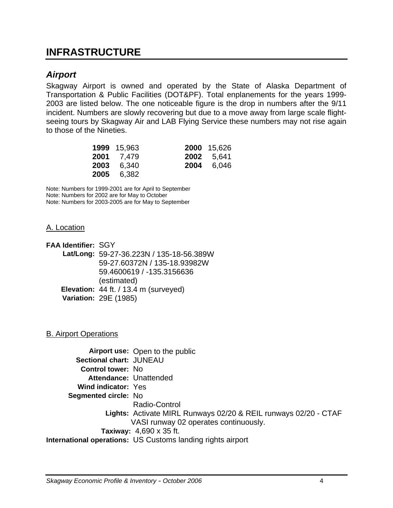# <span id="page-28-0"></span>**INFRASTRUCTURE**

## *Airport*

Skagway Airport is owned and operated by the State of Alaska Department of Transportation & Public Facilities (DOT&PF). Total enplanements for the years 1999- 2003 are listed below. The one noticeable figure is the drop in numbers after the 9/11 incident. Numbers are slowly recovering but due to a move away from large scale flightseeing tours by Skagway Air and LAB Flying Service these numbers may not rise again to those of the Nineties.

| 1999 15,963       | 2000 15,626       |
|-------------------|-------------------|
| <b>2001</b> 7.479 | <b>2002</b> 5,641 |
| <b>2003</b> 6.340 | <b>2004</b> 6,046 |
| <b>2005</b> 6,382 |                   |

Note: Numbers for 1999-2001 are for April to September Note: Numbers for 2002 are for May to October Note: Numbers for 2003-2005 are for May to September

#### A. Location

**FAA Identifier:** SGY **Lat/Long:** 59-27-36.223N / 135-18-56.389W 59-27.60372N / 135-18.93982W 59.4600619 / -135.3156636 (estimated) **Elevation:** 44 ft. / 13.4 m (surveyed) **Variation:** 29E (1985)

#### B. Airport Operations

**Airport use:** Open to [the public](http://www.airnav.com/ad/click/taHR0cDovL3d3dy5hdnNob3.uY29tL3NlY3Rpb25hbGNoYXJ0cy5odG1sP3Jl+LZj05MyBhdnNob3..)  **Sectional chart: JUNEAU Control tower:** No **Attendance:** Unattended **Wind indicator:** Yes **Segmented circle:** No **Lights:**  Activate MIRL Runways 02/20 & REIL runways 02/20 - CTAF Radio-Control VASI runway 02 operates continuously. **Taxiway:** 4,690 x 35 ft. **International operations:** US Customs landing rights airport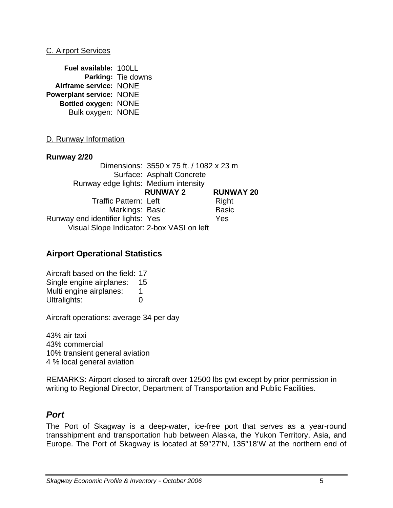#### <span id="page-29-0"></span>C. Airport Services

**Fuel available:** 100LL **Parking:** Tie downs **Airframe service:** NONE **Powerplant service:** NONE **Bottled oxygen:** NONE Bulk oxygen: NONE

D. Runway Information

**Runway 2/20** 

Dimensions: 3550 x 75 ft. / 1082 x 23 m Surface: Asphalt Concrete Runway edge lights: Medium intensity **RUNWAY 2 RUNWAY 20** Traffic Pattern: Left Right Markings: Basic **Basic** Runway end identifier lights: Yes Yes Visual Slope Indicator: 2-box VASI on left

#### **Airport Operational Statistics**

Aircraft based on the field: 17 Single engine airplanes: 15 Multi engine airplanes: 1 Ultralights: 0

Aircraft operations: average 34 per day

43% air taxi 43% commercial 10% transient general aviation 4 % local general aviation

REMARKS: Airport closed to aircraft over 12500 lbs gwt except by prior permission in writing to Regional Director, Department of Transportation and Public Facilities.

## *Port*

The Port of Skagway is a deep-water, ice-free port that serves as a year-round transshipment and transportation hub between Alaska, the Yukon Territory, Asia, and Europe. The Port of Skagway is located at 59°27'N, 135°18'W at the northern end of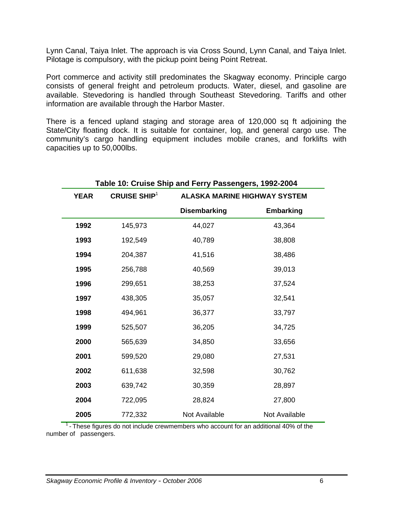<span id="page-30-0"></span>Lynn Canal, Taiya Inlet. The approach is via Cross Sound, Lynn Canal, and Taiya Inlet. Pilotage is compulsory, with the pickup point being Point Retreat.

Port commerce and activity still predominates the Skagway economy. Principle cargo consists of general freight and petroleum products. Water, diesel, and gasoline are available. Stevedoring is handled through Southeast Stevedoring. Tariffs and other information are available through the Harbor Master.

There is a fenced upland staging and storage area of 120,000 sq ft adjoining the State/City floating dock. It is suitable for container, log, and general cargo use. The community's cargo handling equipment includes mobile cranes, and forklifts with capacities up to 50,000lbs.

|             | Table 10: Cruise Ship and Ferry Passengers, 1992-2004 |                                     |                      |  |
|-------------|-------------------------------------------------------|-------------------------------------|----------------------|--|
| <b>YEAR</b> | <b>CRUISE SHIP<sup>1</sup></b>                        | <b>ALASKA MARINE HIGHWAY SYSTEM</b> |                      |  |
|             |                                                       | <b>Disembarking</b>                 | <b>Embarking</b>     |  |
| 1992        | 145,973                                               | 44,027                              | 43,364               |  |
| 1993        | 192,549                                               | 40,789                              | 38,808               |  |
| 1994        | 204,387                                               | 41,516                              | 38,486               |  |
| 1995        | 256,788                                               | 40,569                              | 39,013               |  |
| 1996        | 299,651                                               | 38,253                              | 37,524               |  |
| 1997        | 438,305                                               | 35,057                              | 32,541               |  |
| 1998        | 494,961                                               | 36,377                              | 33,797               |  |
| 1999        | 525,507                                               | 36,205                              | 34,725               |  |
| 2000        | 565,639                                               | 34,850                              | 33,656               |  |
| 2001        | 599,520                                               | 29,080                              | 27,531               |  |
| 2002        | 611,638                                               | 32,598                              | 30,762               |  |
| 2003        | 639,742                                               | 30,359                              | 28,897               |  |
| 2004        | 722,095                                               | 28,824                              | 27,800               |  |
| 2005        | 772,332                                               | Not Available                       | <b>Not Available</b> |  |

 $1$ - These figures do not include crewmembers who account for an additional 40% of the number of passengers.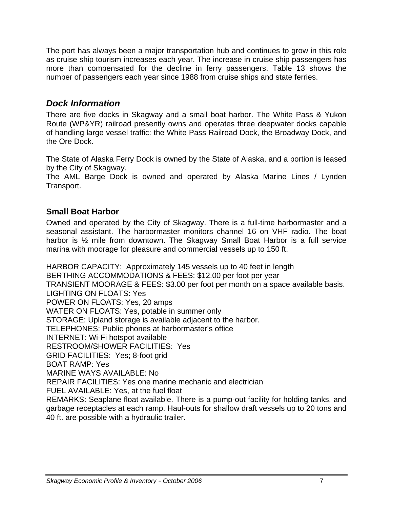<span id="page-31-0"></span>The port has always been a major transportation hub and continues to grow in this role as cruise ship tourism increases each year. The increase in cruise ship passengers has more than compensated for the decline in ferry passengers. Table 13 shows the number of passengers each year since 1988 from cruise ships and state ferries.

# *Dock Information*

There are five docks in Skagway and a small boat harbor. The White Pass & Yukon Route (WP&YR) railroad presently owns and operates three deepwater docks capable of handling large vessel traffic: the White Pass Railroad Dock, the Broadway Dock, and the Ore Dock.

The State of Alaska Ferry Dock is owned by the State of Alaska, and a portion is leased by the City of Skagway.

The AML Barge Dock is owned and operated by Alaska Marine Lines / Lynden Transport.

#### **Small Boat Harbor**

Owned and operated by the City of Skagway. There is a full-time harbormaster and a seasonal assistant. The harbormaster monitors channel 16 on VHF radio. The boat harbor is  $\frac{1}{2}$  mile from downtown. The Skagway Small Boat Harbor is a full service marina with moorage for pleasure and commercial vessels up to 150 ft.

HARBOR CAPACITY: Approximately 145 vessels up to 40 feet in length BERTHING ACCOMMODATIONS & FEES: \$12.00 per foot per year TRANSIENT MOORAGE & FEES: \$3.00 per foot per month on a space available basis. LIGHTING ON FLOATS: Yes POWER ON FLOATS: Yes, 20 amps WATER ON FLOATS: Yes, potable in summer only STORAGE: Upland storage is available adjacent to the harbor. TELEPHONES: Public phones at harbormaster's office INTERNET: Wi-Fi hotspot available RESTROOM/SHOWER FACILITIES: Yes GRID FACILITIES: Yes; 8-foot grid BOAT RAMP: Yes MARINE WAYS AVAILABLE: No REPAIR FACILITIES: Yes one marine mechanic and electrician FUEL AVAILABLE: Yes, at the fuel float REMARKS: Seaplane float available. There is a pump-out facility for holding tanks, and garbage receptacles at each ramp. Haul-outs for shallow draft vessels up to 20 tons and 40 ft. are possible with a hydraulic trailer.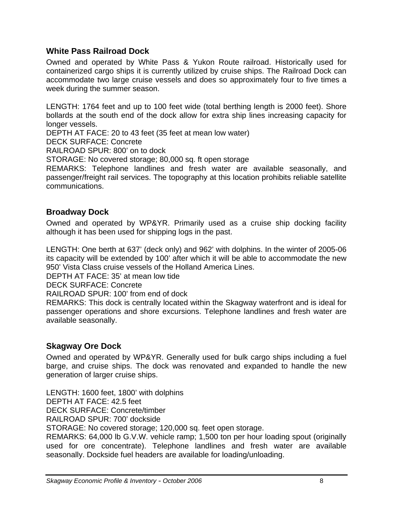#### <span id="page-32-0"></span>**White Pass Railroad Dock**

Owned and operated by White Pass & Yukon Route railroad. Historically used for containerized cargo ships it is currently utilized by cruise ships. The Railroad Dock can accommodate two large cruise vessels and does so approximately four to five times a week during the summer season.

LENGTH: 1764 feet and up to 100 feet wide (total berthing length is 2000 feet). Shore bollards at the south end of the dock allow for extra ship lines increasing capacity for longer vessels.

DEPTH AT FACE: 20 to 43 feet (35 feet at mean low water)

DECK SURFACE: Concrete

RAILROAD SPUR: 800' on to dock

STORAGE: No covered storage; 80,000 sq. ft open storage

REMARKS: Telephone landlines and fresh water are available seasonally, and passenger/freight rail services. The topography at this location prohibits reliable satellite communications.

#### **Broadway Dock**

Owned and operated by WP&YR. Primarily used as a cruise ship docking facility although it has been used for shipping logs in the past.

LENGTH: One berth at 637' (deck only) and 962' with dolphins. In the winter of 2005-06 its capacity will be extended by 100' after which it will be able to accommodate the new 950' Vista Class cruise vessels of the Holland America Lines.

DEPTH AT FACE: 35' at mean low tide

DECK SURFACE: Concrete

RAILROAD SPUR: 100' from end of dock

REMARKS: This dock is centrally located within the Skagway waterfront and is ideal for passenger operations and shore excursions. Telephone landlines and fresh water are available seasonally.

#### **Skagway Ore Dock**

Owned and operated by WP&YR. Generally used for bulk cargo ships including a fuel barge, and cruise ships. The dock was renovated and expanded to handle the new generation of larger cruise ships.

LENGTH: 1600 feet, 1800' with dolphins DEPTH AT FACE: 42.5 feet DECK SURFACE: Concrete/timber RAILROAD SPUR: 700' dockside STORAGE: No covered storage; 120,000 sq. feet open storage. REMARKS: 64,000 lb G.V.W. vehicle ramp; 1,500 ton per hour loading spout (originally

used for ore concentrate). Telephone landlines and fresh water are available seasonally. Dockside fuel headers are available for loading/unloading.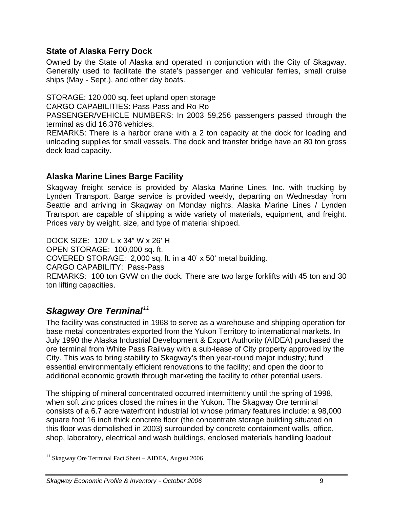#### <span id="page-33-0"></span>**State of Alaska Ferry Dock**

Owned by the State of Alaska and operated in conjunction with the City of Skagway. Generally used to facilitate the state's passenger and vehicular ferries, small cruise ships (May - Sept.), and other day boats.

STORAGE: 120,000 sq. feet upland open storage

CARGO CAPABILITIES: Pass-Pass and Ro-Ro

PASSENGER/VEHICLE NUMBERS: In 2003 59,256 passengers passed through the terminal as did 16,378 vehicles.

REMARKS: There is a harbor crane with a 2 ton capacity at the dock for loading and unloading supplies for small vessels. The dock and transfer bridge have an 80 ton gross deck load capacity.

#### **Alaska Marine Lines Barge Facility**

Skagway freight service is provided by Alaska Marine Lines, Inc. with trucking by Lynden Transport. Barge service is provided weekly, departing on Wednesday from Seattle and arriving in Skagway on Monday nights. Alaska Marine Lines / Lynden Transport are capable of shipping a wide variety of materials, equipment, and freight. Prices vary by weight, size, and type of material shipped.

DOCK SIZE: 120' L x 34" W x 26' H OPEN STORAGE: 100,000 sq. ft. COVERED STORAGE: 2,000 sq. ft. in a 40' x 50' metal building. CARGO CAPABILITY: Pass-Pass REMARKS: 100 ton GVW on the dock. There are two large forklifts with 45 ton and 30 ton lifting capacities.

# *Skagway Ore Terminal[11](#page-33-1)*

 $\overline{a}$ 

The facility was constructed in 1968 to serve as a warehouse and shipping operation for base metal concentrates exported from the Yukon Territory to international markets. In July 1990 the Alaska Industrial Development & Export Authority (AIDEA) purchased the ore terminal from White Pass Railway with a sub-lease of City property approved by the City. This was to bring stability to Skagway's then year-round major industry; fund essential environmentally efficient renovations to the facility; and open the door to additional economic growth through marketing the facility to other potential users.

The shipping of mineral concentrated occurred intermittently until the spring of 1998, when soft zinc prices closed the mines in the Yukon. The Skagway Ore terminal consists of a 6.7 acre waterfront industrial lot whose primary features include: a 98,000 square foot 16 inch thick concrete floor (the concentrate storage building situated on this floor was demolished in 2003) surrounded by concrete containment walls, office, shop, laboratory, electrical and wash buildings, enclosed materials handling loadout

<span id="page-33-1"></span><sup>&</sup>lt;sup>11</sup> Skagway Ore Terminal Fact Sheet – AIDEA, August 2006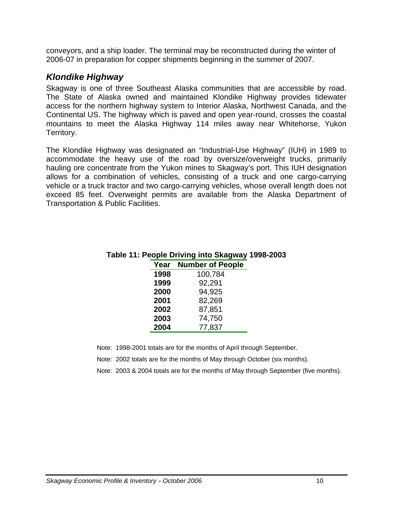<span id="page-34-0"></span>conveyors, and a ship loader. The terminal may be reconstructed during the winter of 2006-07 in preparation for copper shipments beginning in the summer of 2007.

## *Klondike Highway*

Skagway is one of three Southeast Alaska communities that are accessible by road. The State of Alaska owned and maintained Klondike Highway provides tidewater access for the northern highway system to Interior Alaska, Northwest Canada, and the Continental US. The highway which is paved and open year-round, crosses the coastal mountains to meet the Alaska Highway 114 miles away near Whitehorse, Yukon Territory.

The Klondike Highway was designated an "Industrial-Use Highway" (IUH) in 1989 to accommodate the heavy use of the road by oversize/overweight trucks, primarily hauling ore concentrate from the Yukon mines to Skagway's port. This IUH designation allows for a combination of vehicles, consisting of a truck and one cargo-carrying vehicle or a truck tractor and two cargo-carrying vehicles, whose overall length does not exceed 85 feet. Overweight permits are available from the Alaska Department of Transportation & Public Facilities.

| able 11: People Driving into Skagway 1998-2003 |                         |  |  |  |
|------------------------------------------------|-------------------------|--|--|--|
| Year                                           | <b>Number of People</b> |  |  |  |
| 1998                                           | 100,784                 |  |  |  |
| 1999                                           | 92,291                  |  |  |  |
| 2000                                           | 94,925                  |  |  |  |
| 2001                                           | 82,269                  |  |  |  |
| 2002                                           | 87,851                  |  |  |  |
| 2003                                           | 74,750                  |  |  |  |
| 2004                                           | 77,837                  |  |  |  |

# **Table 11: People Driving into Skagway 1998-2003**

Note: 1998-2001 totals are for the months of April through September.

Note: 2002 totals are for the months of May through October (six months).

Note: 2003 & 2004 totals are for the months of May through September (five months).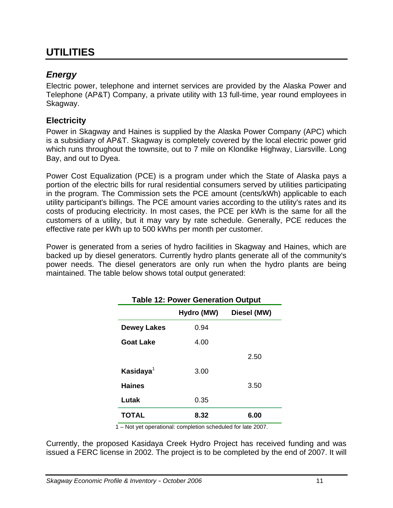# <span id="page-35-0"></span>**UTILITIES**

# *Energy*

Electric power, telephone and internet services are provided by the Alaska Power and Telephone (AP&T) Company, a private utility with 13 full-time, year round employees in Skagway.

#### **Electricity**

Power in Skagway and Haines is supplied by the Alaska Power Company (APC) which is a subsidiary of AP&T. Skagway is completely covered by the local electric power grid which runs throughout the townsite, out to 7 mile on Klondike Highway, Liarsville. Long Bay, and out to Dyea.

Power Cost Equalization (PCE) is a program under which the State of Alaska pays a portion of the electric bills for rural residential consumers served by utilities participating in the program. The Commission sets the PCE amount (cents/kWh) applicable to each utility participant's billings. The PCE amount varies according to the utility's rates and its costs of producing electricity. In most cases, the PCE per kWh is the same for all the customers of a utility, but it may vary by rate schedule. Generally, PCE reduces the effective rate per kWh up to 500 kWhs per month per customer.

Power is generated from a series of hydro facilities in Skagway and Haines, which are backed up by diesel generators. Currently hydro plants generate all of the community's power needs. The diesel generators are only run when the hydro plants are being maintained. The table below shows total output generated:

| <b>Table 12: Power Generation Output</b> |            |             |  |
|------------------------------------------|------------|-------------|--|
|                                          | Hydro (MW) | Diesel (MW) |  |
| <b>Dewey Lakes</b>                       | 0.94       |             |  |
| Goat Lake                                | 4.00       |             |  |
|                                          |            | 2.50        |  |
| Kasidaya $1$                             | 3.00       |             |  |
| <b>Haines</b>                            |            | 3.50        |  |
| Lutak                                    | 0.35       |             |  |
| TOTAL                                    | 8.32       | 6.00        |  |

1 – Not yet operational: completion scheduled for late 2007.

Currently, the proposed Kasidaya Creek Hydro Project has received funding and was issued a FERC license in 2002. The project is to be completed by the end of 2007. It will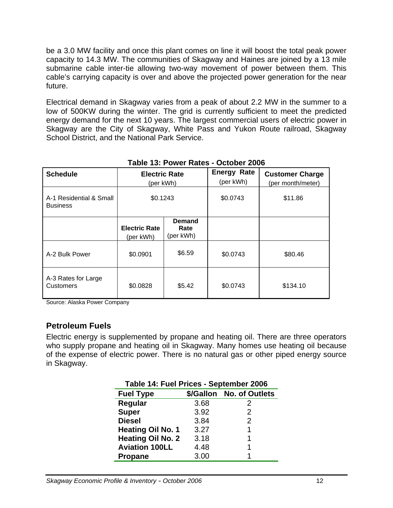be a 3.0 MW facility and once this plant comes on line it will boost the total peak power capacity to 14.3 MW. The communities of Skagway and Haines are joined by a 13 mile submarine cable inter-tie allowing two-way movement of power between them. This cable's carrying capacity is over and above the projected power generation for the near future.

Electrical demand in Skagway varies from a peak of about 2.2 MW in the summer to a low of 500KW during the winter. The grid is currently sufficient to meet the predicted energy demand for the next 10 years. The largest commercial users of electric power in Skagway are the City of Skagway, White Pass and Yukon Route railroad, Skagway School District, and the National Park Service.

| <b>Schedule</b>                            | <b>Electric Rate</b><br>(per kWh) |                                    | <b>Energy Rate</b><br>(per kWh) | <b>Customer Charge</b><br>(per month/meter) |
|--------------------------------------------|-----------------------------------|------------------------------------|---------------------------------|---------------------------------------------|
| A-1 Residential & Small<br><b>Business</b> | \$0.1243                          |                                    | \$0.0743                        | \$11.86                                     |
|                                            | <b>Electric Rate</b><br>(per kWh) | <b>Demand</b><br>Rate<br>(per kWh) |                                 |                                             |
| A-2 Bulk Power                             | \$0.0901                          | \$6.59                             | \$0.0743                        | \$80.46                                     |
| A-3 Rates for Large<br>Customers           | \$0.0828                          | \$5.42                             | \$0.0743                        | \$134.10                                    |

#### **Table 13: Power Rates - October 2006**

Source: Alaska Power Company

### **Petroleum Fuels**

Electric energy is supplemented by propane and heating oil. There are three operators who supply propane and heating oil in Skagway. Many homes use heating oil because of the expense of electric power. There is no natural gas or other piped energy source in Skagway.

| Table 14: Fuel Prices - September 2006 |      |                          |  |  |  |
|----------------------------------------|------|--------------------------|--|--|--|
| <b>Fuel Type</b>                       |      | \$/Gallon No. of Outlets |  |  |  |
| Regular                                | 3.68 | 2                        |  |  |  |
| <b>Super</b>                           | 3.92 | 2                        |  |  |  |
| <b>Diesel</b>                          | 3.84 | 2                        |  |  |  |
| <b>Heating Oil No. 1</b>               | 3.27 | 1                        |  |  |  |
| <b>Heating Oil No. 2</b>               | 3.18 | 1                        |  |  |  |
| <b>Aviation 100LL</b>                  | 4.48 | 1                        |  |  |  |
| Propane                                | 3.00 |                          |  |  |  |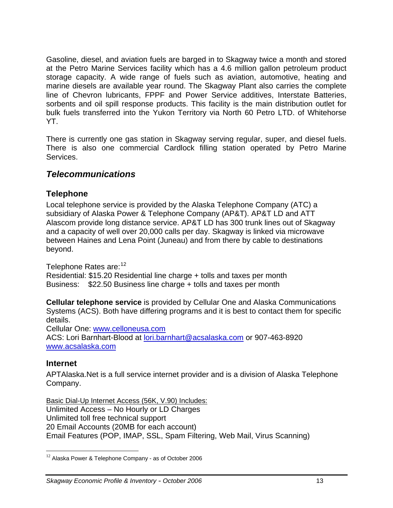Gasoline, diesel, and aviation fuels are barged in to Skagway twice a month and stored at the Petro Marine Services facility which has a 4.6 million gallon petroleum product storage capacity. A wide range of fuels such as aviation, automotive, heating and marine diesels are available year round. The Skagway Plant also carries the complete line of Chevron lubricants, FPPF and Power Service additives, Interstate Batteries, sorbents and oil spill response products. This facility is the main distribution outlet for bulk fuels transferred into the Yukon Territory via North 60 Petro LTD. of Whitehorse YT.

There is currently one gas station in Skagway serving regular, super, and diesel fuels. There is also one commercial Cardlock filling station operated by Petro Marine Services.

## *Telecommunications*

### **Telephone**

Local telephone service is provided by the Alaska Telephone Company (ATC) a subsidiary of Alaska Power & Telephone Company (AP&T). AP&T LD and ATT Alascom provide long distance service. AP&T LD has 300 trunk lines out of Skagway and a capacity of well over 20,000 calls per day. Skagway is linked via microwave between Haines and Lena Point (Juneau) and from there by cable to destinations beyond.

Telephone Rates are: [12](#page-37-0)

Residential: \$15.20 Residential line charge + tolls and taxes per month Business: \$22.50 Business line charge + tolls and taxes per month

**Cellular telephone service** is provided by Cellular One and Alaska Communications Systems (ACS). Both have differing programs and it is best to contact them for specific details.

Cellular One: [www.celloneusa.com](http://www.celloneusa.com/)

ACS: Lori Barnhart-Blood at [lori.barnhart@acsalaska.com](mailto:lori.barnhart@acsalaska.com) or 907-463-8920 [www.acsalaska.com](http://www.acsalaska.com/) 

### **Internet**

 $\overline{a}$ 

APTAlaska.Net is a full service internet provider and is a division of Alaska Telephone Company.

Basic Dial-Up Internet Access (56K, V.90) Includes: Unlimited Access – No Hourly or LD Charges Unlimited toll free technical support 20 Email Accounts (20MB for each account) Email Features (POP, IMAP, SSL, Spam Filtering, Web Mail, Virus Scanning)

<span id="page-37-0"></span> $12$  Alaska Power & Telephone Company - as of October 2006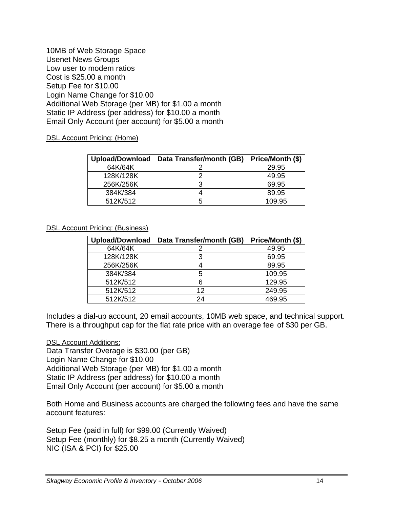10MB of Web Storage Space Usenet News Groups Low user to modem ratios Cost is \$25.00 a month Setup Fee for \$10.00 Login Name Change for \$10.00 Additional Web Storage (per MB) for \$1.00 a month Static IP Address (per address) for \$10.00 a month Email Only Account (per account) for \$5.00 a month

DSL Account Pricing: (Home)

| Upload/Download | Data Transfer/month (GB) | Price/Month (\$) |
|-----------------|--------------------------|------------------|
| 64K/64K         |                          | 29.95            |
| 128K/128K       |                          | 49.95            |
| 256K/256K       |                          | 69.95            |
| 384K/384        |                          | 89.95            |
| 512K/512        |                          | 109.95           |

#### DSL Account Pricing: (Business)

| <b>Upload/Download</b> | Data Transfer/month (GB) | Price/Month (\$) |
|------------------------|--------------------------|------------------|
| 64K/64K                |                          | 49.95            |
| 128K/128K              |                          | 69.95            |
| 256K/256K              |                          | 89.95            |
| 384K/384               |                          | 109.95           |
| 512K/512               |                          | 129.95           |
| 512K/512               | 12                       | 249.95           |
| 512K/512               | 24                       | 469.95           |

Includes a dial-up account, 20 email accounts, 10MB web space, and technical support. There is a throughput cap for the flat rate price with an overage fee of \$30 per GB.

DSL Account Additions:

Data Transfer Overage is \$30.00 (per GB) Login Name Change for \$10.00 Additional Web Storage (per MB) for \$1.00 a month Static IP Address (per address) for \$10.00 a month Email Only Account (per account) for \$5.00 a month

Both Home and Business accounts are charged the following fees and have the same account features:

Setup Fee (paid in full) for \$99.00 (Currently Waived) Setup Fee (monthly) for \$8.25 a month (Currently Waived) NIC (ISA & PCI) for \$25.00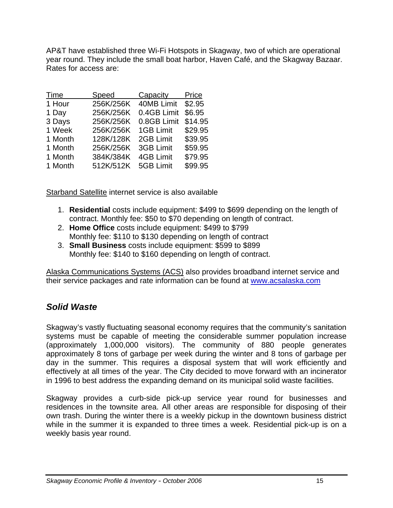AP&T have established three Wi-Fi Hotspots in Skagway, two of which are operational year round. They include the small boat harbor, Haven Café, and the Skagway Bazaar. Rates for access are:

| Time    | Speed     | Capacity         | Price   |
|---------|-----------|------------------|---------|
| 1 Hour  | 256K/256K | 40MB Limit       | \$2.95  |
| 1 Day   | 256K/256K | 0.4GB Limit      | \$6.95  |
| 3 Days  | 256K/256K | 0.8GB Limit      | \$14.95 |
| 1 Week  | 256K/256K | <b>1GB Limit</b> | \$29.95 |
| 1 Month | 128K/128K | 2GB Limit        | \$39.95 |
| 1 Month | 256K/256K | 3GB Limit        | \$59.95 |
| 1 Month | 384K/384K | <b>4GB Limit</b> | \$79.95 |
| 1 Month | 512K/512K | 5GB Limit        | \$99.95 |

Starband Satellite internet service is also available

- 1. **Residential** costs include equipment: \$499 to \$699 depending on the length of contract. Monthly fee: \$50 to \$70 depending on length of contract.
- 2. **Home Office** costs include equipment: \$499 to \$799 Monthly fee: \$110 to \$130 depending on length of contract
- 3. **Small Business** costs include equipment: \$599 to \$899 Monthly fee: \$140 to \$160 depending on length of contract.

Alaska Communications Systems (ACS) also provides broadband internet service and their service packages and rate information can be found at [www.acsalaska.com](http://www.acsalaska.com/) 

## *Solid Waste*

Skagway's vastly fluctuating seasonal economy requires that the community's sanitation systems must be capable of meeting the considerable summer population increase (approximately 1,000,000 visitors). The community of 880 people generates approximately 8 tons of garbage per week during the winter and 8 tons of garbage per day in the summer. This requires a disposal system that will work efficiently and effectively at all times of the year. The City decided to move forward with an incinerator in 1996 to best address the expanding demand on its municipal solid waste facilities.

Skagway provides a curb-side pick-up service year round for businesses and residences in the townsite area. All other areas are responsible for disposing of their own trash. During the winter there is a weekly pickup in the downtown business district while in the summer it is expanded to three times a week. Residential pick-up is on a weekly basis year round.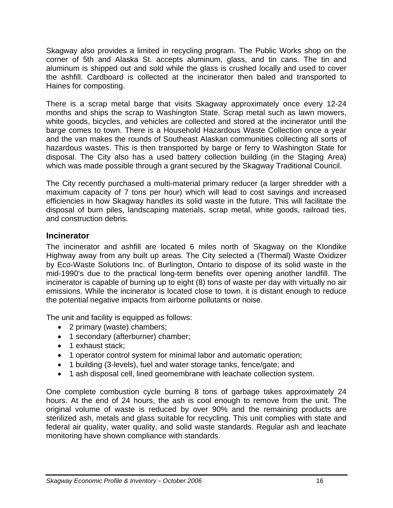Skagway also provides a limited in recycling program. The Public Works shop on the corner of 5th and Alaska St. accepts aluminum, glass, and tin cans. The tin and aluminum is shipped out and sold while the glass is crushed locally and used to cover the ashfill. Cardboard is collected at the incinerator then baled and transported to Haines for composting.

There is a scrap metal barge that visits Skagway approximately once every 12-24 months and ships the scrap to Washington State. Scrap metal such as lawn mowers, white goods, bicycles, and vehicles are collected and stored at the incinerator until the barge comes to town. There is a Household Hazardous Waste Collection once a year and the van makes the rounds of Southeast Alaskan communities collecting all sorts of hazardous wastes. This is then transported by barge or ferry to Washington State for disposal. The City also has a used battery collection building (in the Staging Area) which was made possible through a grant secured by the Skagway Traditional Council.

The City recently purchased a multi-material primary reducer (a larger shredder with a maximum capacity of 7 tons per hour) which will lead to cost savings and increased efficiencies in how Skagway handles its solid waste in the future. This will facilitate the disposal of burn piles, landscaping materials, scrap metal, white goods, railroad ties, and construction debris.

## **Incinerator**

The incinerator and ashfill are located 6 miles north of Skagway on the Klondike Highway away from any built up areas. The City selected a (Thermal) Waste Oxidizer by Eco-Waste Solutions Inc. of Burlington, Ontario to dispose of its solid waste in the mid-1990's due to the practical long-term benefits over opening another landfill. The incinerator is capable of burning up to eight (8) tons of waste per day with virtually no air emissions. While the incinerator is located close to town, it is distant enough to reduce the potential negative impacts from airborne pollutants or noise.

The unit and facility is equipped as follows:

- 2 primary (waste) chambers;
- 1 secondary (afterburner) chamber;
- 1 exhaust stack;
- 1 operator control system for minimal labor and automatic operation;
- 1 building (3-levels), fuel and water storage tanks, fence/gate; and
- 1 ash disposal cell, lined geomembrane with leachate collection system.

One complete combustion cycle burning 8 tons of garbage takes approximately 24 hours. At the end of 24 hours, the ash is cool enough to remove from the unit. The original volume of waste is reduced by over 90% and the remaining products are sterilized ash, metals and glass suitable for recycling. This unit complies with state and federal air quality, water quality, and solid waste standards. Regular ash and leachate monitoring have shown compliance with standards.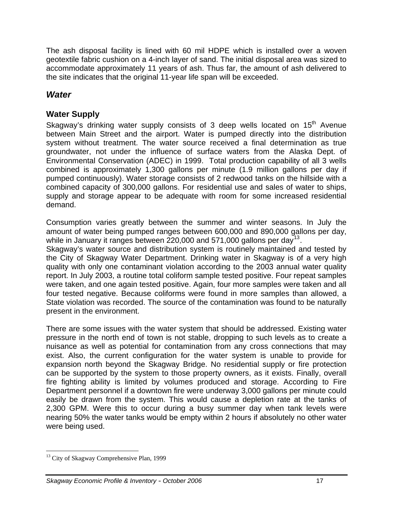The ash disposal facility is lined with 60 mil HDPE which is installed over a woven geotextile fabric cushion on a 4-inch layer of sand. The initial disposal area was sized to accommodate approximately 11 years of ash. Thus far, the amount of ash delivered to the site indicates that the original 11-year life span will be exceeded.

## *Water*

## **Water Supply**

Skagway's drinking water supply consists of 3 deep wells located on  $15<sup>th</sup>$  Avenue between Main Street and the airport. Water is pumped directly into the distribution system without treatment. The water source received a final determination as true groundwater, not under the influence of surface waters from the Alaska Dept. of Environmental Conservation (ADEC) in 1999. Total production capability of all 3 wells combined is approximately 1,300 gallons per minute (1.9 million gallons per day if pumped continuously). Water storage consists of 2 redwood tanks on the hillside with a combined capacity of 300,000 gallons. For residential use and sales of water to ships, supply and storage appear to be adequate with room for some increased residential demand.

Consumption varies greatly between the summer and winter seasons. In July the amount of water being pumped ranges between 600,000 and 890,000 gallons per day, while in January it ranges between 220,000 and 571,000 gallons per day<sup>[13](#page-41-0)</sup>.

Skagway's water source and distribution system is routinely maintained and tested by the City of Skagway Water Department. Drinking water in Skagway is of a very high quality with only one contaminant violation according to the 2003 annual water quality report. In July 2003, a routine total coliform sample tested positive. Four repeat samples were taken, and one again tested positive. Again, four more samples were taken and all four tested negative. Because coliforms were found in more samples than allowed, a State violation was recorded. The source of the contamination was found to be naturally present in the environment.

There are some issues with the water system that should be addressed. Existing water pressure in the north end of town is not stable, dropping to such levels as to create a nuisance as well as potential for contamination from any cross connections that may exist. Also, the current configuration for the water system is unable to provide for expansion north beyond the Skagway Bridge. No residential supply or fire protection can be supported by the system to those property owners, as it exists. Finally, overall fire fighting ability is limited by volumes produced and storage. According to Fire Department personnel if a downtown fire were underway 3,000 gallons per minute could easily be drawn from the system. This would cause a depletion rate at the tanks of 2,300 GPM. Were this to occur during a busy summer day when tank levels were nearing 50% the water tanks would be empty within 2 hours if absolutely no other water were being used.

 $\overline{a}$ 

<span id="page-41-0"></span><sup>&</sup>lt;sup>13</sup> City of Skagway Comprehensive Plan, 1999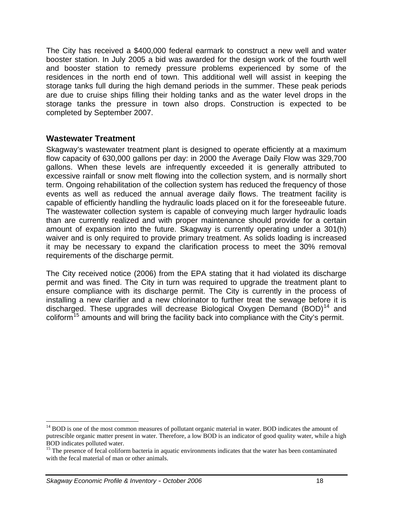The City has received a \$400,000 federal earmark to construct a new well and water booster station. In July 2005 a bid was awarded for the design work of the fourth well and booster station to remedy pressure problems experienced by some of the residences in the north end of town. This additional well will assist in keeping the storage tanks full during the high demand periods in the summer. These peak periods are due to cruise ships filling their holding tanks and as the water level drops in the storage tanks the pressure in town also drops. Construction is expected to be completed by September 2007.

### **Wastewater Treatment**

Skagway's wastewater treatment plant is designed to operate efficiently at a maximum flow capacity of 630,000 gallons per day: in 2000 the Average Daily Flow was 329,700 gallons. When these levels are infrequently exceeded it is generally attributed to excessive rainfall or snow melt flowing into the collection system, and is normally short term. Ongoing rehabilitation of the collection system has reduced the frequency of those events as well as reduced the annual average daily flows. The treatment facility is capable of efficiently handling the hydraulic loads placed on it for the foreseeable future. The wastewater collection system is capable of conveying much larger hydraulic loads than are currently realized and with proper maintenance should provide for a certain amount of expansion into the future. Skagway is currently operating under a 301(h) waiver and is only required to provide primary treatment. As solids loading is increased it may be necessary to expand the clarification process to meet the 30% removal requirements of the discharge permit.

The City received notice (2006) from the EPA stating that it had violated its discharge permit and was fined. The City in turn was required to upgrade the treatment plant to ensure compliance with its discharge permit. The City is currently in the process of installing a new clarifier and a new chlorinator to further treat the sewage before it is discharged. These upgrades will decrease Biological Oxygen Demand (BOD)<sup>[14](#page-42-0)</sup> and coliform<sup>[15](#page-42-1)</sup> amounts and will bring the facility back into compliance with the City's permit.

 $\overline{a}$ 

<span id="page-42-0"></span><sup>&</sup>lt;sup>14</sup> BOD is one of the most common measures of pollutant organic material in water. BOD indicates the amount of putrescible organic matter present in water. Therefore, a low BOD is an indicator of good quality water, while a high BOD indicates polluted water.

<span id="page-42-1"></span><sup>&</sup>lt;sup>15</sup> The presence of fecal coliform bacteria in aquatic environments indicates that the water has been contaminated with the fecal material of man or other animals.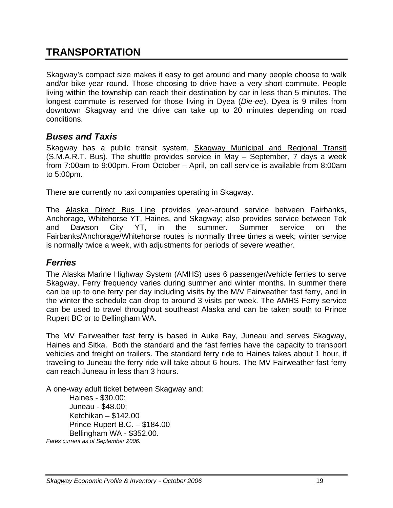# **TRANSPORTATION**

Skagway's compact size makes it easy to get around and many people choose to walk and/or bike year round. Those choosing to drive have a very short commute. People living within the township can reach their destination by car in less than 5 minutes. The longest commute is reserved for those living in Dyea (*Die-ee*). Dyea is 9 miles from downtown Skagway and the drive can take up to 20 minutes depending on road conditions.

## *Buses and Taxis*

Skagway has a public transit system, Skagway Municipal and Regional Transit (S.M.A.R.T. Bus). The shuttle provides service in May – September, 7 days a week from 7:00am to 9:00pm. From October – April, on call service is available from 8:00am to 5:00pm.

There are currently no taxi companies operating in Skagway.

The Alaska Direct Bus Line provides year-around service between Fairbanks, Anchorage, Whitehorse YT, Haines, and Skagway; also provides service between Tok and Dawson City YT, in the summer. Summer service on the Fairbanks/Anchorage/Whitehorse routes is normally three times a week; winter service is normally twice a week, with adjustments for periods of severe weather.

## *Ferries*

The Alaska Marine Highway System (AMHS) uses 6 passenger/vehicle ferries to serve Skagway. Ferry frequency varies during summer and winter months. In summer there can be up to one ferry per day including visits by the M/V Fairweather fast ferry, and in the winter the schedule can drop to around 3 visits per week. The AMHS Ferry service can be used to travel throughout southeast Alaska and can be taken south to Prince Rupert BC or to Bellingham WA.

The MV Fairweather fast ferry is based in Auke Bay, Juneau and serves Skagway, Haines and Sitka. Both the standard and the fast ferries have the capacity to transport vehicles and freight on trailers. The standard ferry ride to Haines takes about 1 hour, if traveling to Juneau the ferry ride will take about 6 hours. The MV Fairweather fast ferry can reach Juneau in less than 3 hours.

A one-way adult ticket between Skagway and:

Haines - \$30.00; Juneau - \$48.00; Ketchikan – \$142.00 Prince Rupert B.C. – \$184.00 Bellingham WA - \$352.00. *Fares current as of September 2006.*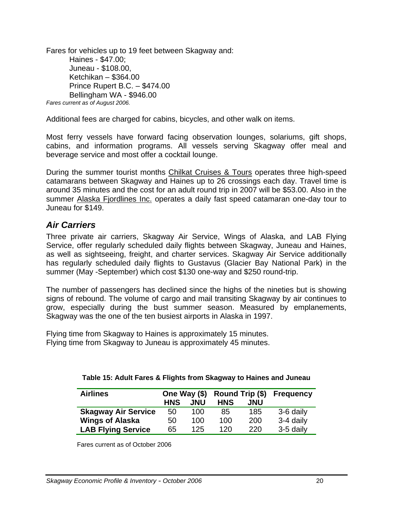Fares for vehicles up to 19 feet between Skagway and: Haines - \$47.00; Juneau - \$108.00, Ketchikan – \$364.00 Prince Rupert B.C. – \$474.00 Bellingham WA - \$946.00 *Fares current as of August 2006.* 

Additional fees are charged for cabins, bicycles, and other walk on items.

Most ferry vessels have forward facing observation lounges, solariums, gift shops, cabins, and information programs. All vessels serving Skagway offer meal and beverage service and most offer a cocktail lounge.

During the summer tourist months Chilkat Cruises & Tours operates three high-speed catamarans between Skagway and Haines up to 26 crossings each day. Travel time is around 35 minutes and the cost for an adult round trip in 2007 will be \$53.00. Also in the summer Alaska Fjordlines Inc. operates a daily fast speed catamaran one-day tour to Juneau for \$149.

## *Air Carriers*

Three private air carriers, Skagway Air Service, Wings of Alaska, and LAB Flying Service, offer regularly scheduled daily flights between Skagway, Juneau and Haines, as well as sightseeing, freight, and charter services. Skagway Air Service additionally has regularly scheduled daily flights to Gustavus (Glacier Bay National Park) in the summer (May -September) which cost \$130 one-way and \$250 round-trip.

The number of passengers has declined since the highs of the nineties but is showing signs of rebound. The volume of cargo and mail transiting Skagway by air continues to grow, especially during the bust summer season. Measured by emplanements, Skagway was the one of the ten busiest airports in Alaska in 1997.

Flying time from Skagway to Haines is approximately 15 minutes. Flying time from Skagway to Juneau is approximately 45 minutes.

| <b>Airlines</b>            | One Way (\$) |            | Round Trip (\$) |            | <b>Frequency</b> |
|----------------------------|--------------|------------|-----------------|------------|------------------|
|                            | <b>HNS</b>   | <b>JNU</b> | <b>HNS</b>      | <b>JNU</b> |                  |
| <b>Skagway Air Service</b> | 50           | 100        | 85              | 185        | 3-6 daily        |
| <b>Wings of Alaska</b>     | 50           | 100        | 100             | 200        | 3-4 daily        |
| <b>LAB Flying Service</b>  | 65           | 125        | 120             | 220        | 3-5 daily        |

**Table 15: Adult Fares & Flights from Skagway to Haines and Juneau** 

Fares current as of October 2006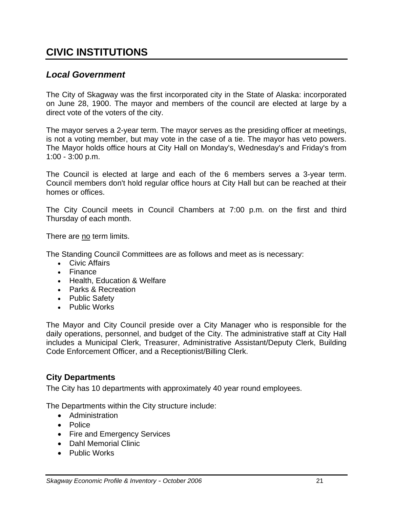# **CIVIC INSTITUTIONS**

## *Local Government*

The City of Skagway was the first incorporated city in the State of Alaska: incorporated on June 28, 1900. The mayor and members of the council are elected at large by a direct vote of the voters of the city.

The mayor serves a 2-year term. The mayor serves as the presiding officer at meetings, is not a voting member, but may vote in the case of a tie. The mayor has veto powers. The Mayor holds office hours at City Hall on Monday's, Wednesday's and Friday's from 1:00 - 3:00 p.m.

The Council is elected at large and each of the 6 members serves a 3-year term. Council members don't hold regular office hours at City Hall but can be reached at their homes or offices.

The City Council meets in Council Chambers at 7:00 p.m. on the first and third Thursday of each month.

There are no term limits.

The Standing Council Committees are as follows and meet as is necessary:

- Civic Affairs
- Finance
- Health, Education & Welfare
- Parks & Recreation
- Public Safety
- Public Works

The Mayor and City Council preside over a City Manager who is responsible for the daily operations, personnel, and budget of the City. The administrative staff at City Hall includes a Municipal Clerk, Treasurer, Administrative Assistant/Deputy Clerk, Building Code Enforcement Officer, and a Receptionist/Billing Clerk.

### **City Departments**

The City has 10 departments with approximately 40 year round employees.

The Departments within the City structure include:

- Administration
- Police
- Fire and Emergency Services
- Dahl Memorial Clinic
- Public Works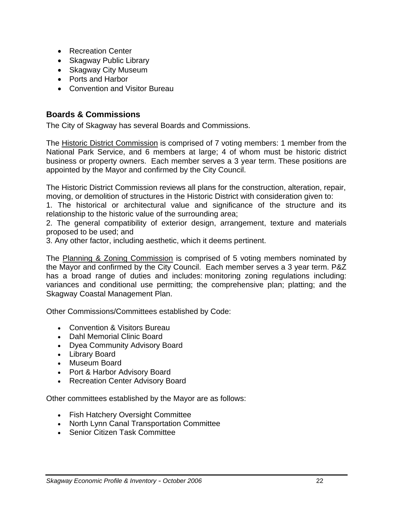- Recreation Center
- Skagway Public Library
- Skagway City Museum
- Ports and Harbor
- Convention and Visitor Bureau

### **Boards & Commissions**

The City of Skagway has several Boards and Commissions.

The Historic District Commission is comprised of 7 voting members: 1 member from the National Park Service, and 6 members at large; 4 of whom must be historic district business or property owners. Each member serves a 3 year term. These positions are appointed by the Mayor and confirmed by the City Council.

The Historic District Commission reviews all plans for the construction, alteration, repair, moving, or demolition of structures in the Historic District with consideration given to:

1. The historical or architectural value and significance of the structure and its relationship to the historic value of the surrounding area;

2. The general compatibility of exterior design, arrangement, texture and materials proposed to be used; and

3. Any other factor, including aesthetic, which it deems pertinent.

The Planning & Zoning Commission is comprised of 5 voting members nominated by the Mayor and confirmed by the City Council. Each member serves a 3 year term. P&Z has a broad range of duties and includes: monitoring zoning regulations including: variances and conditional use permitting; the comprehensive plan; platting; and the Skagway Coastal Management Plan.

Other Commissions/Committees established by Code:

- Convention & Visitors Bureau
- Dahl Memorial Clinic Board
- Dyea Community Advisory Board
- Library Board
- Museum Board
- Port & Harbor Advisory Board
- Recreation Center Advisory Board

Other committees established by the Mayor are as follows:

- Fish Hatchery Oversight Committee
- North Lynn Canal Transportation Committee
- Senior Citizen Task Committee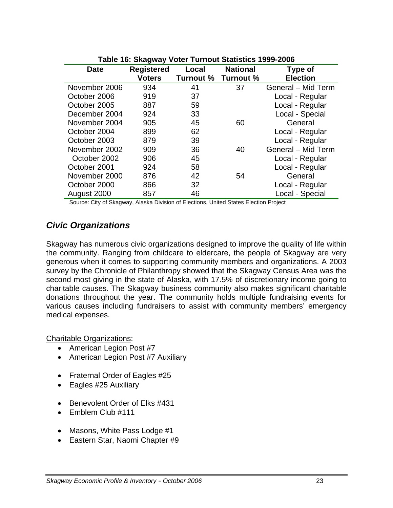| <b>Date</b>   | <b>Registered</b><br><b>Voters</b> | Local<br>Turnout % | <b>National</b><br>Turnout % | Type of<br><b>Election</b> |
|---------------|------------------------------------|--------------------|------------------------------|----------------------------|
| November 2006 | 934                                | 41                 | 37                           | General - Mid Term         |
| October 2006  | 919                                | 37                 |                              | Local - Regular            |
| October 2005  | 887                                | 59                 |                              | Local - Regular            |
| December 2004 | 924                                | 33                 |                              | Local - Special            |
| November 2004 | 905                                | 45                 | 60                           | General                    |
| October 2004  | 899                                | 62                 |                              | Local - Regular            |
| October 2003  | 879                                | 39                 |                              | Local - Regular            |
| November 2002 | 909                                | 36                 | 40                           | General - Mid Term         |
| October 2002  | 906                                | 45                 |                              | Local - Regular            |
| October 2001  | 924                                | 58                 |                              | Local - Regular            |
| November 2000 | 876                                | 42                 | 54                           | General                    |
| October 2000  | 866                                | 32                 |                              | Local - Regular            |
| August 2000   | 857                                | 46                 |                              | Local - Special            |

#### **Table 16: Skagway Voter Turnout Statistics 1999-2006**

Source: City of Skagway, Alaska Division of Elections, United States Election Project

## *Civic Organizations*

Skagway has numerous civic organizations designed to improve the quality of life within the community. Ranging from childcare to eldercare, the people of Skagway are very generous when it comes to supporting community members and organizations. A 2003 survey by the Chronicle of Philanthropy showed that the Skagway Census Area was the second most giving in the state of Alaska, with 17.5% of discretionary income going to charitable causes. The Skagway business community also makes significant charitable donations throughout the year. The community holds multiple fundraising events for various causes including fundraisers to assist with community members' emergency medical expenses.

Charitable Organizations:

- American Legion Post #7
- American Legion Post #7 Auxiliary
- Fraternal Order of Eagles #25
- Eagles #25 Auxiliary
- Benevolent Order of Elks #431
- Emblem Club #111
- Masons, White Pass Lodge #1
- Eastern Star, Naomi Chapter #9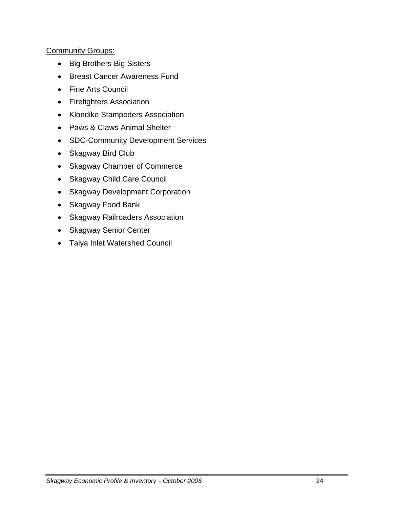### **Community Groups:**

- Big Brothers Big Sisters
- Breast Cancer Awareness Fund
- Fine Arts Council
- Firefighters Association
- Klondike Stampeders Association
- Paws & Claws Animal Shelter
- SDC-Community Development Services
- Skagway Bird Club
- Skagway Chamber of Commerce
- Skagway Child Care Council
- Skagway Development Corporation
- Skagway Food Bank
- Skagway Railroaders Association
- Skagway Senior Center
- Taiya Inlet Watershed Council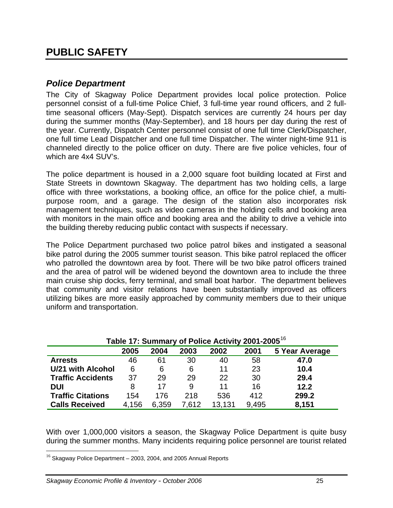# **PUBLIC SAFETY**

## *Police Department*

The City of Skagway Police Department provides local police protection. Police personnel consist of a full-time Police Chief, 3 full-time year round officers, and 2 fulltime seasonal officers (May-Sept). Dispatch services are currently 24 hours per day during the summer months (May-September), and 18 hours per day during the rest of the year. Currently, Dispatch Center personnel consist of one full time Clerk/Dispatcher, one full time Lead Dispatcher and one full time Dispatcher. The winter night-time 911 is channeled directly to the police officer on duty. There are five police vehicles, four of which are 4x4 SUV's.

The police department is housed in a 2,000 square foot building located at First and State Streets in downtown Skagway. The department has two holding cells, a large office with three workstations, a booking office, an office for the police chief, a multipurpose room, and a garage. The design of the station also incorporates risk management techniques, such as video cameras in the holding cells and booking area with monitors in the main office and booking area and the ability to drive a vehicle into the building thereby reducing public contact with suspects if necessary.

The Police Department purchased two police patrol bikes and instigated a seasonal bike patrol during the 2005 summer tourist season. This bike patrol replaced the officer who patrolled the downtown area by foot. There will be two bike patrol officers trained and the area of patrol will be widened beyond the downtown area to include the three main cruise ship docks, ferry terminal, and small boat harbor. The department believes that community and visitor relations have been substantially improved as officers utilizing bikes are more easily approached by community members due to their unique uniform and transportation.

| Table 17: Summary of Police Activity 2001-2005 <sup>16</sup> |       |       |       |        |       |       |
|--------------------------------------------------------------|-------|-------|-------|--------|-------|-------|
| 2002<br>2001<br>2005<br>2004<br>2003<br>5 Year Average       |       |       |       |        |       |       |
| <b>Arrests</b>                                               | 46    | 61    | 30    | 40     | 58    | 47.0  |
| U/21 with Alcohol                                            | 6     | 6     | 6     | 11     | 23    | 10.4  |
| <b>Traffic Accidents</b>                                     | 37    | 29    | 29    | 22     | 30    | 29.4  |
| <b>DUI</b>                                                   | 8     | 17    | 9     | 11     | 16    | 12.2  |
| <b>Traffic Citations</b>                                     | 154   | 176   | 218   | 536    | 412   | 299.2 |
| <b>Calls Received</b>                                        | 4,156 | 6,359 | 7.612 | 13,131 | 9,495 | 8,151 |

With over 1,000,000 visitors a season, the Skagway Police Department is quite busy during the summer months. Many incidents requiring police personnel are tourist related

 $\overline{a}$ 

<span id="page-49-0"></span> $16$  Skagway Police Department – 2003, 2004, and 2005 Annual Reports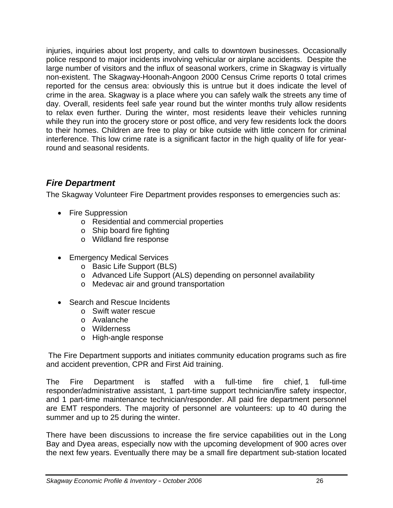injuries, inquiries about lost property, and calls to downtown businesses. Occasionally police respond to major incidents involving vehicular or airplane accidents. Despite the large number of visitors and the influx of seasonal workers, crime in Skagway is virtually non-existent. The Skagway-Hoonah-Angoon 2000 Census Crime reports 0 total crimes reported for the census area: obviously this is untrue but it does indicate the level of crime in the area. Skagway is a place where you can safely walk the streets any time of day. Overall, residents feel safe year round but the winter months truly allow residents to relax even further. During the winter, most residents leave their vehicles running while they run into the grocery store or post office, and very few residents lock the doors to their homes. Children are free to play or bike outside with little concern for criminal interference. This low crime rate is a significant factor in the high quality of life for yearround and seasonal residents.

## *Fire Department*

The Skagway Volunteer Fire Department provides responses to emergencies such as:

- Fire Suppression
	- o Residential and commercial properties
	- o Ship board fire fighting
	- o Wildland fire response
- Emergency Medical Services
	- o Basic Life Support (BLS)
	- o Advanced Life Support (ALS) depending on personnel availability
	- o Medevac air and ground transportation
- Search and Rescue Incidents
	- o Swift water rescue
	- o Avalanche
	- o Wilderness
	- o High-angle response

 The Fire Department supports and initiates community education programs such as fire and accident prevention, CPR and First Aid training.

The Fire Department is staffed with a full-time fire chief, 1 full-time responder/administrative assistant, 1 part-time support technician/fire safety inspector, and 1 part-time maintenance technician/responder. All paid fire department personnel are EMT responders. The majority of personnel are volunteers: up to 40 during the summer and up to 25 during the winter.

There have been discussions to increase the fire service capabilities out in the Long Bay and Dyea areas, especially now with the upcoming development of 900 acres over the next few years. Eventually there may be a small fire department sub-station located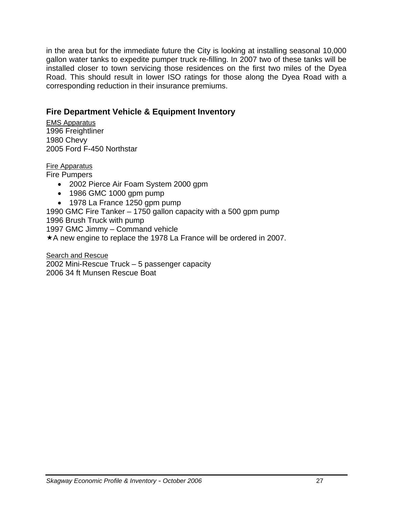in the area but for the immediate future the City is looking at installing seasonal 10,000 gallon water tanks to expedite pumper truck re-filling. In 2007 two of these tanks will be installed closer to town servicing those residences on the first two miles of the Dyea Road. This should result in lower ISO ratings for those along the Dyea Road with a corresponding reduction in their insurance premiums.

## **Fire Department Vehicle & Equipment Inventory**

EMS Apparatus 1996 Freightliner 1980 Chevy 2005 Ford F-450 Northstar

Fire Apparatus

Fire Pumpers

- 2002 Pierce Air Foam System 2000 gpm
- 1986 GMC 1000 gpm pump
- 1978 La France 1250 gpm pump

1990 GMC Fire Tanker – 1750 gallon capacity with a 500 gpm pump 1996 Brush Truck with pump

1997 GMC Jimmy – Command vehicle

\* A new engine to replace the 1978 La France will be ordered in 2007.

Search and Rescue 2002 Mini-Rescue Truck – 5 passenger capacity 2006 34 ft Munsen Rescue Boat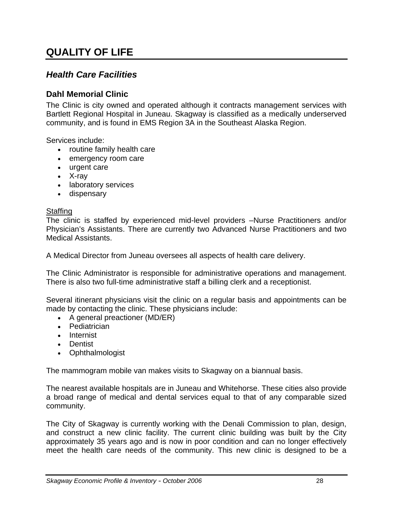# **QUALITY OF LIFE**

## *Health Care Facilities*

### **Dahl Memorial Clinic**

The Clinic is city owned and operated although it contracts management services with Bartlett Regional Hospital in Juneau. Skagway is classified as a medically underserved community, and is found in EMS Region 3A in the Southeast Alaska Region.

Services include:

- routine family health care
- emergency room care
- urgent care
- X-ray
- laboratory services
- dispensary

#### **Staffing**

The clinic is staffed by experienced mid-level providers –Nurse Practitioners and/or Physician's Assistants. There are currently two Advanced Nurse Practitioners and two Medical Assistants.

A Medical Director from Juneau oversees all aspects of health care delivery.

The Clinic Administrator is responsible for administrative operations and management. There is also two full-time administrative staff a billing clerk and a receptionist.

Several itinerant physicians visit the clinic on a regular basis and appointments can be made by contacting the clinic. These physicians include:

- A general preactioner (MD/ER)
- Pediatrician
- Internist
- Dentist
- Ophthalmologist

The mammogram mobile van makes visits to Skagway on a biannual basis.

The nearest available hospitals are in Juneau and Whitehorse. These cities also provide a broad range of medical and dental services equal to that of any comparable sized community.

The City of Skagway is currently working with the Denali Commission to plan, design, and construct a new clinic facility. The current clinic building was built by the City approximately 35 years ago and is now in poor condition and can no longer effectively meet the health care needs of the community. This new clinic is designed to be a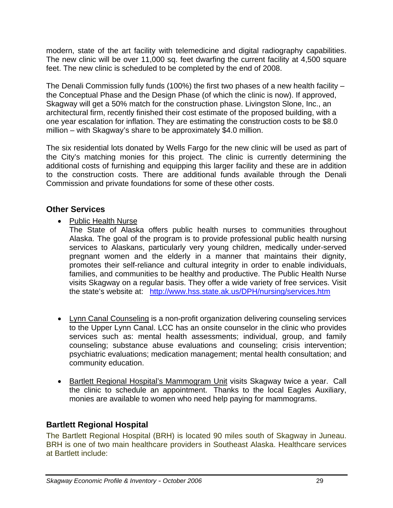modern, state of the art facility with telemedicine and digital radiography capabilities. The new clinic will be over 11,000 sq. feet dwarfing the current facility at 4,500 square feet. The new clinic is scheduled to be completed by the end of 2008.

The Denali Commission fully funds (100%) the first two phases of a new health facility – the Conceptual Phase and the Design Phase (of which the clinic is now). If approved, Skagway will get a 50% match for the construction phase. Livingston Slone, Inc., an architectural firm, recently finished their cost estimate of the proposed building, with a one year escalation for inflation. They are estimating the construction costs to be \$8.0 million – with Skagway's share to be approximately \$4.0 million.

The six residential lots donated by Wells Fargo for the new clinic will be used as part of the City's matching monies for this project. The clinic is currently determining the additional costs of furnishing and equipping this larger facility and these are in addition to the construction costs. There are additional funds available through the Denali Commission and private foundations for some of these other costs.

## **Other Services**

- Public Health Nurse
	- The State of Alaska offers public health nurses to communities throughout Alaska. The goal of the program is to provide professional public health nursing services to Alaskans, particularly very young children, medically under-served pregnant women and the elderly in a manner that maintains their dignity, promotes their self-reliance and cultural integrity in order to enable individuals, families, and communities to be healthy and productive. The Public Health Nurse visits Skagway on a regular basis. They offer a wide variety of free services. Visit the state's website at: <http://www.hss.state.ak.us/DPH/nursing/services.htm>
- Lynn Canal Counseling is a non-profit organization delivering counseling services to the Upper Lynn Canal. LCC has an onsite counselor in the clinic who provides services such as: mental health assessments; individual, group, and family counseling; substance abuse evaluations and counseling; crisis intervention; psychiatric evaluations; medication management; mental health consultation; and community education.
- Bartlett Regional Hospital's Mammogram Unit visits Skagway twice a year. Call the clinic to schedule an appointment. Thanks to the local Eagles Auxiliary, monies are available to women who need help paying for mammograms.

## **Bartlett Regional Hospital**

The Bartlett Regional Hospital (BRH) is located 90 miles south of Skagway in Juneau. BRH is one of two main healthcare providers in Southeast Alaska. Healthcare services at Bartlett include: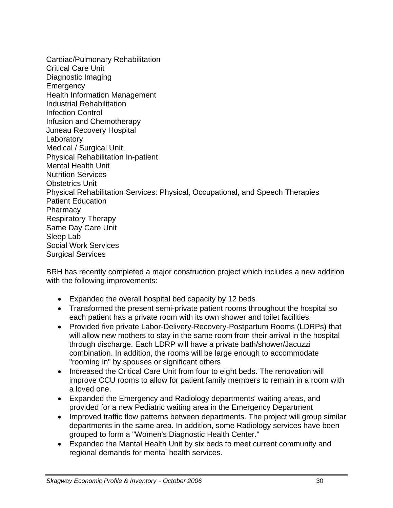Cardiac/Pulmonary Rehabilitation Critical Care Unit Diagnostic Imaging **Emergency** Health Information Management Industrial Rehabilitation Infection Control Infusion and Chemotherapy Juneau Recovery Hospital **Laboratory** Medical / Surgical Unit Physical Rehabilitation In-patient Mental Health Unit Nutrition Services Obstetrics Unit Physical Rehabilitation Services: Physical, Occupational, and Speech Therapies Patient Education **Pharmacy** Respiratory Therapy Same Day Care Unit Sleep Lab Social Work Services Surgical Services

BRH has recently completed a major construction project which includes a new addition with the following improvements:

- Expanded the overall hospital bed capacity by 12 beds
- Transformed the present semi-private patient rooms throughout the hospital so each patient has a private room with its own shower and toilet facilities.
- Provided five private Labor-Delivery-Recovery-Postpartum Rooms (LDRPs) that will allow new mothers to stay in the same room from their arrival in the hospital through discharge. Each LDRP will have a private bath/shower/Jacuzzi combination. In addition, the rooms will be large enough to accommodate "rooming in" by spouses or significant others
- Increased the Critical Care Unit from four to eight beds. The renovation will improve CCU rooms to allow for patient family members to remain in a room with a loved one.
- Expanded the Emergency and Radiology departments' waiting areas, and provided for a new Pediatric waiting area in the Emergency Department
- Improved traffic flow patterns between departments. The project will group similar departments in the same area. In addition, some Radiology services have been grouped to form a "Women's Diagnostic Health Center."
- Expanded the Mental Health Unit by six beds to meet current community and regional demands for mental health services.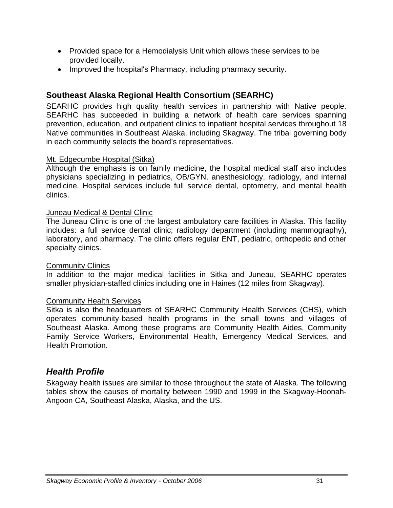- Provided space for a Hemodialysis Unit which allows these services to be provided locally.
- Improved the hospital's Pharmacy, including pharmacy security.

## **Southeast Alaska Regional Health Consortium (SEARHC)**

SEARHC provides high quality health services in partnership with Native people. SEARHC has succeeded in building a network of health care services spanning prevention, education, and outpatient clinics to inpatient hospital services throughout 18 Native communities in Southeast Alaska, including Skagway. The tribal governing body in each community selects the board's representatives.

#### Mt. Edgecumbe Hospital (Sitka)

Although the emphasis is on family medicine, the hospital medical staff also includes physicians specializing in pediatrics, OB/GYN, anesthesiology, radiology, and internal medicine. Hospital services include full service dental, optometry, and mental health clinics.

#### Juneau Medical & Dental Clinic

The Juneau Clinic is one of the largest ambulatory care facilities in Alaska. This facility includes: a full service dental clinic; radiology department (including mammography), laboratory, and pharmacy. The clinic offers regular ENT, pediatric, orthopedic and other specialty clinics.

#### Community Clinics

In addition to the major medical facilities in Sitka and Juneau, SEARHC operates smaller physician-staffed clinics including one in Haines (12 miles from Skagway).

#### Community Health Services

Sitka is also the headquarters of SEARHC Community Health Services (CHS), which operates community-based health programs in the small towns and villages of Southeast Alaska. Among these programs are Community Health Aides, Community Family Service Workers, Environmental Health, Emergency Medical Services, and Health Promotion.

## *Health Profile*

Skagway health issues are similar to those throughout the state of Alaska. The following tables show the causes of mortality between 1990 and 1999 in the Skagway-Hoonah-Angoon CA, Southeast Alaska, Alaska, and the US.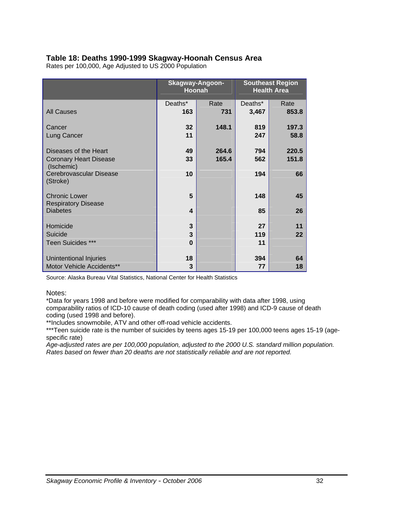#### **Table 18: Deaths 1990-1999 Skagway-Hoonah Census Area**

Rates per 100,000, Age Adjusted to US 2000 Population

|                                               | Skagway-Angoon-<br>Hoonah |       | <b>Southeast Region</b><br><b>Health Area</b> |       |
|-----------------------------------------------|---------------------------|-------|-----------------------------------------------|-------|
|                                               | Deaths*                   | Rate  | Deaths*                                       | Rate  |
| <b>All Causes</b>                             | 163                       | 731   | 3,467                                         | 853.8 |
| Cancer                                        | 32                        | 148.1 | 819                                           | 197.3 |
| Lung Cancer                                   | 11                        |       | 247                                           | 58.8  |
| Diseases of the Heart                         | 49                        | 264.6 | 794                                           | 220.5 |
| <b>Coronary Heart Disease</b><br>(Ischemic)   | 33                        | 165.4 | 562                                           | 151.8 |
| Cerebrovascular Disease<br>(Stroke)           | 10                        |       | 194                                           | 66    |
| <b>Chronic Lower</b>                          | 5                         |       | 148                                           | 45    |
| <b>Respiratory Disease</b><br><b>Diabetes</b> | 4                         |       | 85                                            | 26    |
| Homicide                                      | 3                         |       | 27                                            | 11    |
| Suicide                                       | 3                         |       | 119                                           | 22    |
| Teen Suicides ***                             | $\bf{0}$                  |       | 11                                            |       |
| Unintentional Injuries                        | 18                        |       | 394                                           | 64    |
| Motor Vehicle Accidents**                     | 3                         |       | 77                                            | 18    |

Source: Alaska Bureau Vital Statistics, National Center for Health Statistics

Notes:

\*Data for years 1998 and before were modified for comparability with data after 1998, using comparability ratios of ICD-10 cause of death coding (used after 1998) and ICD-9 cause of death coding (used 1998 and before).

\*\*Includes snowmobile, ATV and other off-road vehicle accidents.

\*\*\*Teen suicide rate is the number of suicides by teens ages 15-19 per 100,000 teens ages 15-19 (agespecific rate)

*Age-adjusted rates are per 100,000 population, adjusted to the 2000 U.S. standard million population. Rates based on fewer than 20 deaths are not statistically reliable and are not reported.*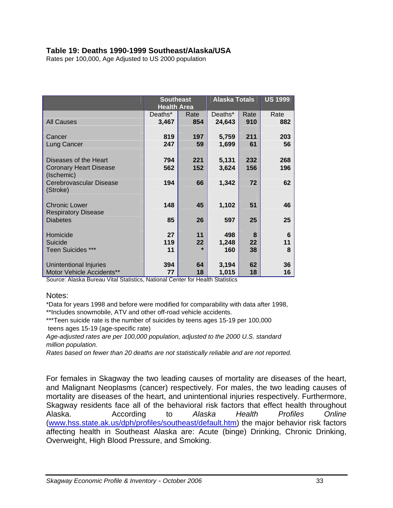#### **Table 19: Deaths 1990-1999 Southeast/Alaska/USA**

Rates per 100,000, Age Adjusted to US 2000 population

|                                                    | <b>Southeast</b>   |         | <b>Alaska Totals</b> |      | <b>US 1999</b> |
|----------------------------------------------------|--------------------|---------|----------------------|------|----------------|
|                                                    | <b>Health Area</b> |         |                      |      |                |
|                                                    | Deaths*            | Rate    | Deaths*              | Rate | Rate           |
| <b>All Causes</b>                                  | 3,467              | 854     | 24,643               | 910  | 882            |
| Cancer                                             | 819                | 197     | 5,759                | 211  | 203            |
| Lung Cancer                                        | 247                | 59      | 1,699                | 61   | 56             |
|                                                    |                    |         |                      |      |                |
| Diseases of the Heart                              | 794                | 221     | 5,131                | 232  | 268            |
| <b>Coronary Heart Disease</b><br>(Ischemic)        | 562                | 152     | 3,624                | 156  | 196            |
| Cerebrovascular Disease<br>(Stroke)                | 194                | 66      | 1,342                | 72   | 62             |
| <b>Chronic Lower</b><br><b>Respiratory Disease</b> | 148                | 45      | 1,102                | 51   | 46             |
| <b>Diabetes</b>                                    | 85                 | 26      | 597                  | 25   | 25             |
| Homicide                                           | 27                 | 11      | 498                  | 8    | 6              |
| Suicide                                            | 119                | 22      | 1,248                | 22   | 11             |
| <b>Teen Suicides ***</b>                           | 11                 | $\star$ | 160                  | 38   | 8              |
| Unintentional Injuries                             | 394                | 64      | 3,194                | 62   | 36             |
| Motor Vehicle Accidents**                          | 77                 | 18      | 1,015                | 18   | 16             |
|                                                    |                    |         |                      |      |                |

Source: Alaska Bureau Vital Statistics, National Center for Health Statistics

#### Notes:

\*Data for years 1998 and before were modified for comparability with data after 1998,

\*\*Includes snowmobile, ATV and other off-road vehicle accidents.

\*\*\*Teen suicide rate is the number of suicides by teens ages 15-19 per 100,000 teens ages 15-19 (age-specific rate)

*Age-adjusted rates are per 100,000 population, adjusted to the 2000 U.S. standard million population.* 

*Rates based on fewer than 20 deaths are not statistically reliable and are not reported.* 

For females in Skagway the two leading causes of mortality are diseases of the heart, and Malignant Neoplasms (cancer) respectively. For males, the two leading causes of mortality are diseases of the heart, and unintentional injuries respectively. Furthermore, Skagway residents face all of the behavioral risk factors that effect health throughout Alaska. According to *Alaska Health Profiles Online* ([www.hss.state.ak.us/dph/profiles/southeast/default.htm\)](http://www.hss.state.ak.us/dph/profiles/southeast/default.htm) the major behavior risk factors affecting health in Southeast Alaska are: Acute (binge) Drinking, Chronic Drinking, Overweight, High Blood Pressure, and Smoking.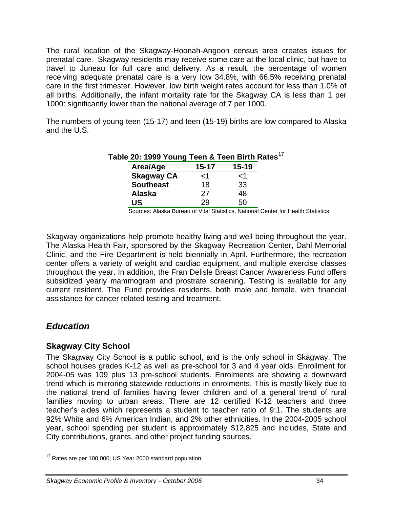The rural location of the Skagway-Hoonah-Angoon census area creates issues for prenatal care. Skagway residents may receive some care at the local clinic, but have to travel to Juneau for full care and delivery. As a result, the percentage of women receiving adequate prenatal care is a very low 34.8%, with 66.5% receiving prenatal care in the first trimester. However, low birth weight rates account for less than 1.0% of all births. Additionally, the infant mortality rate for the Skagway CA is less than 1 per 1000: significantly lower than the national average of 7 per 1000.

The numbers of young teen (15-17) and teen (15-19) births are low compared to Alaska and the U.S.

| Table 20: 1999 Young Teen & Teen Birth Rates <sup>17</sup> |           |           |  |
|------------------------------------------------------------|-----------|-----------|--|
| Area/Age                                                   | $15 - 17$ | $15 - 19$ |  |
| <b>Skagway CA</b>                                          | -1        | ا>        |  |
| <b>Southeast</b>                                           | 18        | 33        |  |
| <b>Alaska</b>                                              | 27        | 48        |  |
| US                                                         | 29.       | 50        |  |

Sources: Alaska Bureau of Vital Statistics, National Center for Health Statistics

Skagway organizations help promote healthy living and well being throughout the year. The Alaska Health Fair, sponsored by the Skagway Recreation Center, Dahl Memorial Clinic, and the Fire Department is held biennially in April. Furthermore, the recreation center offers a variety of weight and cardiac equipment, and multiple exercise classes throughout the year. In addition, the Fran Delisle Breast Cancer Awareness Fund offers subsidized yearly mammogram and prostrate screening. Testing is available for any current resident. The Fund provides residents, both male and female, with financial assistance for cancer related testing and treatment.

## *Education*

 $\overline{a}$ 

### **Skagway City School**

The Skagway City School is a public school, and is the only school in Skagway. The school houses grades K-12 as well as pre-school for 3 and 4 year olds. Enrollment for 2004-05 was 109 plus 13 pre-school students. Enrolments are showing a downward trend which is mirroring statewide reductions in enrolments. This is mostly likely due to the national trend of families having fewer children and of a general trend of rural families moving to urban areas. There are 12 certified K-12 teachers and three teacher's aides which represents a student to teacher ratio of 9:1. The students are 92% White and 6% American Indian, and 2% other ethnicities. In the 2004-2005 school year, school spending per student is approximately \$12,825 and includes, State and City contributions, grants, and other project funding sources.

<span id="page-58-0"></span> $17$  Rates are per 100,000; US Year 2000 standard population.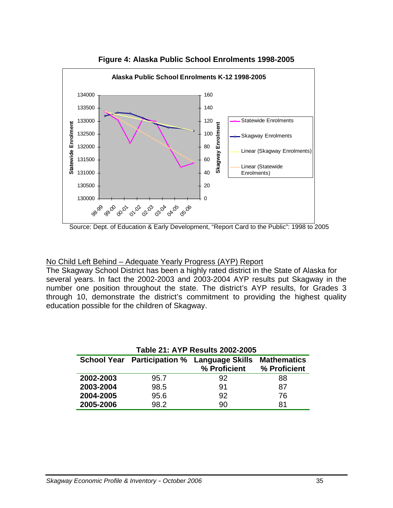

**Figure 4: Alaska Public School Enrolments 1998-2005** 

Source: Dept. of Education & Early Development, "Report Card to the Public": 1998 to 2005

#### No Child Left Behind – Adequate Yearly Progress (AYP) Report

The Skagway School District has been a highly rated district in the State of Alaska for several years. In fact the 2002-2003 and 2003-2004 AYP results put Skagway in the number one position throughout the state. The district's AYP results, for Grades 3 through 10, demonstrate the district's commitment to providing the highest quality education possible for the children of Skagway.

| <b>Table 21: AYP Results 2002-2005</b> |      |                                                                    |                                    |  |  |
|----------------------------------------|------|--------------------------------------------------------------------|------------------------------------|--|--|
|                                        |      | <b>School Year Participation % Language Skills</b><br>% Proficient | <b>Mathematics</b><br>% Proficient |  |  |
| 2002-2003                              | 95.7 | 92                                                                 | 88                                 |  |  |
| 2003-2004                              | 98.5 | 91                                                                 | 87                                 |  |  |
| 2004-2005                              | 95.6 | 92                                                                 | 76                                 |  |  |
| 2005-2006                              | 98.2 | 90                                                                 | 81                                 |  |  |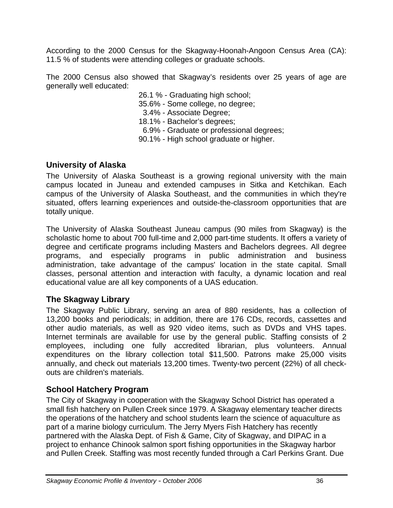According to the 2000 Census for the Skagway-Hoonah-Angoon Census Area (CA): 11.5 % of students were attending colleges or graduate schools.

The 2000 Census also showed that Skagway's residents over 25 years of age are generally well educated:

26.1 % - Graduating high school;

35.6% - Some college, no degree;

3.4% - Associate Degree;

18.1% - Bachelor's degrees;

6.9% - Graduate or professional degrees;

90.1% - High school graduate or higher.

### **University of Alaska**

The University of Alaska Southeast is a growing regional university with the main campus located in Juneau and extended campuses in Sitka and Ketchikan. Each campus of the University of Alaska Southeast, and the communities in which they're situated, offers learning experiences and outside-the-classroom opportunities that are totally unique.

The University of Alaska Southeast Juneau campus (90 miles from Skagway) is the scholastic home to about 700 full-time and 2,000 part-time students. It offers a variety of degree and certificate programs including Masters and Bachelors degrees. All degree programs, and especially programs in public administration and business administration, take advantage of the campus' location in the state capital. Small classes, personal attention and interaction with faculty, a dynamic location and real educational value are all key components of a UAS education.

## **The Skagway Library**

The Skagway Public Library, serving an area of 880 residents, has a collection of 13,200 books and periodicals; in addition, there are 176 CDs, records, cassettes and other audio materials, as well as 920 video items, such as DVDs and VHS tapes. Internet terminals are available for use by the general public. Staffing consists of 2 employees, including one fully accredited librarian, plus volunteers. Annual expenditures on the library collection total \$11,500. Patrons make 25,000 visits annually, and check out materials 13,200 times. Twenty-two percent (22%) of all checkouts are children's materials.

## **School Hatchery Program**

The City of Skagway in cooperation with the Skagway School District has operated a small fish hatchery on Pullen Creek since 1979. A Skagway elementary teacher directs the operations of the hatchery and school students learn the science of aquaculture as part of a marine biology curriculum. The Jerry Myers Fish Hatchery has recently partnered with the Alaska Dept. of Fish & Game, City of Skagway, and DIPAC in a project to enhance Chinook salmon sport fishing opportunities in the Skagway harbor and Pullen Creek. Staffing was most recently funded through a Carl Perkins Grant. Due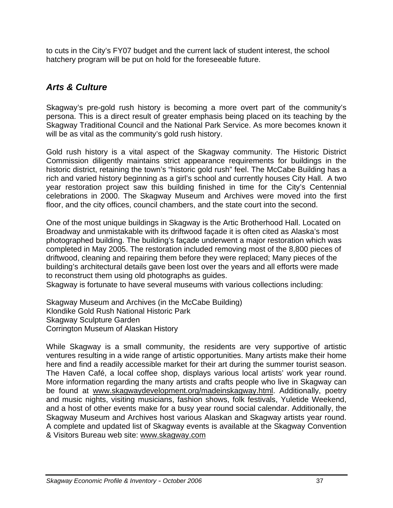to cuts in the City's FY07 budget and the current lack of student interest, the school hatchery program will be put on hold for the foreseeable future.

## *Arts & Culture*

Skagway's pre-gold rush history is becoming a more overt part of the community's persona. This is a direct result of greater emphasis being placed on its teaching by the Skagway Traditional Council and the National Park Service. As more becomes known it will be as vital as the community's gold rush history.

Gold rush history is a vital aspect of the Skagway community. The Historic District Commission diligently maintains strict appearance requirements for buildings in the historic district, retaining the town's "historic gold rush" feel. The McCabe Building has a rich and varied history beginning as a girl's school and currently houses City Hall. A two year restoration project saw this building finished in time for the City's Centennial celebrations in 2000. The Skagway Museum and Archives were moved into the first floor, and the city offices, council chambers, and the state court into the second.

One of the most unique buildings in Skagway is the Artic Brotherhood Hall. Located on Broadway and unmistakable with its driftwood façade it is often cited as Alaska's most photographed building. The building's façade underwent a major restoration which was completed in May 2005. The restoration included removing most of the 8,800 pieces of driftwood, cleaning and repairing them before they were replaced; Many pieces of the building's architectural details gave been lost over the years and all efforts were made to reconstruct them using old photographs as guides.

Skagway is fortunate to have several museums with various collections including:

Skagway Museum and Archives (in the McCabe Building) Klondike Gold Rush National Historic Park Skagway Sculpture Garden Corrington Museum of Alaskan History

While Skagway is a small community, the residents are very supportive of artistic ventures resulting in a wide range of artistic opportunities. Many artists make their home here and find a readily accessible market for their art during the summer tourist season. The Haven Café, a local coffee shop, displays various local artists' work year round. More information regarding the many artists and crafts people who live in Skagway can be found at [www.skagwaydevelopment.org/madeinskagway.html.](http://www.skagwaydevelopment.org/madeinskagway.html) Additionally, poetry and music nights, visiting musicians, fashion shows, folk festivals, Yuletide Weekend, and a host of other events make for a busy year round social calendar. Additionally, the Skagway Museum and Archives host various Alaskan and Skagway artists year round. A complete and updated list of Skagway events is available at the Skagway Convention & Visitors Bureau web site: [www.skagway.com](http://www.skagway.com/)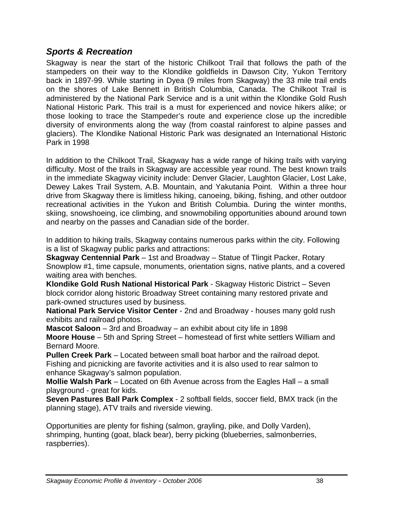## *Sports & Recreation*

Skagway is near the start of the historic Chilkoot Trail that follows the path of the stampeders on their way to the Klondike goldfields in Dawson City, Yukon Territory back in 1897-99. While starting in Dyea (9 miles from Skagway) the 33 mile trail ends on the shores of Lake Bennett in British Columbia, Canada. The Chilkoot Trail is administered by the National Park Service and is a unit within the Klondike Gold Rush National Historic Park. This trail is a must for experienced and novice hikers alike; or those looking to trace the Stampeder's route and experience close up the incredible diversity of environments along the way (from coastal rainforest to alpine passes and glaciers). The Klondike National Historic Park was designated an International Historic Park in 1998

In addition to the Chilkoot Trail, Skagway has a wide range of hiking trails with varying difficulty. Most of the trails in Skagway are accessible year round. The best known trails in the immediate Skagway vicinity include: Denver Glacier, Laughton Glacier, Lost Lake, Dewey Lakes Trail System, A.B. Mountain, and Yakutania Point. Within a three hour drive from Skagway there is limitless hiking, canoeing, biking, fishing, and other outdoor recreational activities in the Yukon and British Columbia. During the winter months, skiing, snowshoeing, ice climbing, and snowmobiling opportunities abound around town and nearby on the passes and Canadian side of the border.

In addition to hiking trails, Skagway contains numerous parks within the city. Following is a list of Skagway public parks and attractions:

**Skagway Centennial Park** – 1st and Broadway – Statue of Tlingit Packer, Rotary Snowplow #1, time capsule, monuments, orientation signs, native plants, and a covered waiting area with benches.

**Klondike Gold Rush National Historical Park** - Skagway Historic District – Seven block corridor along historic Broadway Street containing many restored private and park-owned structures used by business.

**National Park Service Visitor Center** - 2nd and Broadway - houses many gold rush exhibits and railroad photos.

**Mascot Saloon** – 3rd and Broadway – an exhibit about city life in 1898 **Moore House** – 5th and Spring Street – homestead of first white settlers William and Bernard Moore.

**Pullen Creek Park** – Located between small boat harbor and the railroad depot. Fishing and picnicking are favorite activities and it is also used to rear salmon to enhance Skagway's salmon population.

**Mollie Walsh Park** – Located on 6th Avenue across from the Eagles Hall – a small playground - great for kids.

**Seven Pastures Ball Park Complex** - 2 softball fields, soccer field, BMX track (in the planning stage), ATV trails and riverside viewing.

Opportunities are plenty for fishing (salmon, grayling, pike, and Dolly Varden), shrimping, hunting (goat, black bear), berry picking (blueberries, salmonberries, raspberries).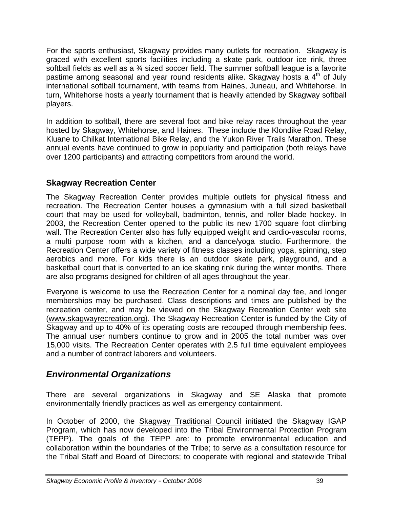For the sports enthusiast, Skagway provides many outlets for recreation. Skagway is graced with excellent sports facilities including a skate park, outdoor ice rink, three softball fields as well as a <sup>3</sup>/<sub>4</sub> sized soccer field. The summer softball league is a favorite pastime among seasonal and year round residents alike. Skagway hosts a  $4<sup>th</sup>$  of July international softball tournament, with teams from Haines, Juneau, and Whitehorse. In turn, Whitehorse hosts a yearly tournament that is heavily attended by Skagway softball players.

In addition to softball, there are several foot and bike relay races throughout the year hosted by Skagway, Whitehorse, and Haines. These include the Klondike Road Relay, Kluane to Chilkat International Bike Relay, and the Yukon River Trails Marathon. These annual events have continued to grow in popularity and participation (both relays have over 1200 participants) and attracting competitors from around the world.

## **Skagway Recreation Center**

The Skagway Recreation Center provides multiple outlets for physical fitness and recreation. The Recreation Center houses a gymnasium with a full sized basketball court that may be used for volleyball, badminton, tennis, and roller blade hockey. In 2003, the Recreation Center opened to the public its new 1700 square foot climbing wall. The Recreation Center also has fully equipped weight and cardio-vascular rooms, a multi purpose room with a kitchen, and a dance/yoga studio. Furthermore, the Recreation Center offers a wide variety of fitness classes including yoga, spinning, step aerobics and more. For kids there is an outdoor skate park, playground, and a basketball court that is converted to an ice skating rink during the winter months. There are also programs designed for children of all ages throughout the year.

Everyone is welcome to use the Recreation Center for a nominal day fee, and longer memberships may be purchased. Class descriptions and times are published by the recreation center, and may be viewed on the Skagway Recreation Center web site (www.skagwayrecreation.org). The Skagway Recreation Center is funded by the City of Skagway and up to 40% of its operating costs are recouped through membership fees. The annual user numbers continue to grow and in 2005 the total number was over 15,000 visits. The Recreation Center operates with 2.5 full time equivalent employees and a number of contract laborers and volunteers.

## *Environmental Organizations*

There are several organizations in Skagway and SE Alaska that promote environmentally friendly practices as well as emergency containment.

In October of 2000, the Skagway Traditional Council initiated the Skagway IGAP Program, which has now developed into the Tribal Environmental Protection Program (TEPP). The goals of the TEPP are: to promote environmental education and collaboration within the boundaries of the Tribe; to serve as a consultation resource for the Tribal Staff and Board of Directors; to cooperate with regional and statewide Tribal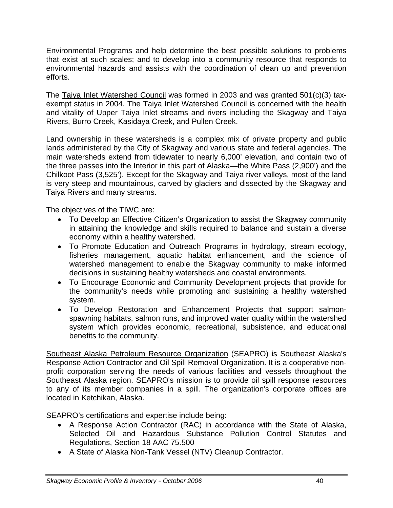Environmental Programs and help determine the best possible solutions to problems that exist at such scales; and to develop into a community resource that responds to environmental hazards and assists with the coordination of clean up and prevention efforts.

The Taiya Inlet Watershed Council was formed in 2003 and was granted 501(c)(3) taxexempt status in 2004. The Taiya Inlet Watershed Council is concerned with the health and vitality of Upper Taiya Inlet streams and rivers including the Skagway and Taiya Rivers, Burro Creek, Kasidaya Creek, and Pullen Creek.

Land ownership in these watersheds is a complex mix of private property and public lands administered by the City of Skagway and various state and federal agencies. The main watersheds extend from tidewater to nearly 6,000' elevation, and contain two of the three passes into the Interior in this part of Alaska—the White Pass (2,900') and the Chilkoot Pass (3,525'). Except for the Skagway and Taiya river valleys, most of the land is very steep and mountainous, carved by glaciers and dissected by the Skagway and Taiya Rivers and many streams.

The objectives of the TIWC are:

- To Develop an Effective Citizen's Organization to assist the Skagway community in attaining the knowledge and skills required to balance and sustain a diverse economy within a healthy watershed.
- To Promote Education and Outreach Programs in hydrology, stream ecology, fisheries management, aquatic habitat enhancement, and the science of watershed management to enable the Skagway community to make informed decisions in sustaining healthy watersheds and coastal environments.
- To Encourage Economic and Community Development projects that provide for the community's needs while promoting and sustaining a healthy watershed system.
- To Develop Restoration and Enhancement Projects that support salmonspawning habitats, salmon runs, and improved water quality within the watershed system which provides economic, recreational, subsistence, and educational benefits to the community.

Southeast Alaska Petroleum Resource Organization (SEAPRO) is Southeast Alaska's Response Action Contractor and Oil Spill Removal Organization. It is a cooperative nonprofit corporation serving the needs of various facilities and vessels throughout the Southeast Alaska region. SEAPRO's mission is to provide oil spill response resources to any of its member companies in a spill. The organization's corporate offices are located in Ketchikan, Alaska.

SEAPRO's certifications and expertise include being:

- A Response Action Contractor (RAC) in accordance with the State of Alaska, Selected Oil and Hazardous Substance Pollution Control Statutes and Regulations, Section 18 AAC 75.500
- A State of Alaska Non-Tank Vessel (NTV) Cleanup Contractor.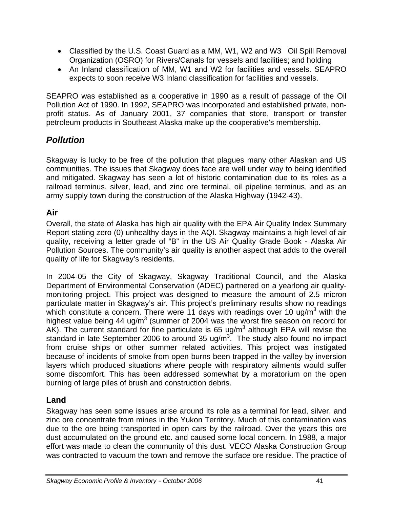- Classified by the U.S. Coast Guard as a MM, W1, W2 and W3 Oil Spill Removal Organization (OSRO) for Rivers/Canals for vessels and facilities; and holding
- An Inland classification of MM, W1 and W2 for facilities and vessels. SEAPRO expects to soon receive W3 Inland classification for facilities and vessels.

SEAPRO was established as a cooperative in 1990 as a result of passage of the Oil Pollution Act of 1990. In 1992, SEAPRO was incorporated and established private, nonprofit status. As of January 2001, 37 companies that store, transport or transfer petroleum products in Southeast Alaska make up the cooperative's membership.

## *Pollution*

Skagway is lucky to be free of the pollution that plagues many other Alaskan and US communities. The issues that Skagway does face are well under way to being identified and mitigated. Skagway has seen a lot of historic contamination due to its roles as a railroad terminus, silver, lead, and zinc ore terminal, oil pipeline terminus, and as an army supply town during the construction of the Alaska Highway (1942-43).

## **Air**

Overall, the state of Alaska has high air quality with the EPA Air Quality Index Summary Report stating zero (0) unhealthy days in the AQI. Skagway maintains a high level of air quality, receiving a letter grade of "B" in the US Air Quality Grade Book - Alaska Air Pollution Sources. The community's air quality is another aspect that adds to the overall quality of life for Skagway's residents.

In 2004-05 the City of Skagway, Skagway Traditional Council, and the Alaska Department of Environmental Conservation (ADEC) partnered on a yearlong air qualitymonitoring project. This project was designed to measure the amount of 2.5 micron particulate matter in Skagway's air. This project's preliminary results show no readings which constitute a concern. There were 11 days with readings over 10 ug/m<sup>3</sup> with the highest value being 44 ug/m<sup>3</sup> (summer of 2004 was the worst fire season on record for AK). The current standard for fine particulate is 65 ug/m<sup>3</sup> although EPA will revise the standard in late September 2006 to around 35 ug/m<sup>3</sup>. The study also found no impact from cruise ships or other summer related activities. This project was instigated because of incidents of smoke from open burns been trapped in the valley by inversion layers which produced situations where people with respiratory ailments would suffer some discomfort. This has been addressed somewhat by a moratorium on the open burning of large piles of brush and construction debris.

## **Land**

Skagway has seen some issues arise around its role as a terminal for lead, silver, and zinc ore concentrate from mines in the Yukon Territory. Much of this contamination was due to the ore being transported in open cars by the railroad. Over the years this ore dust accumulated on the ground etc. and caused some local concern. In 1988, a major effort was made to clean the community of this dust. VECO Alaska Construction Group was contracted to vacuum the town and remove the surface ore residue. The practice of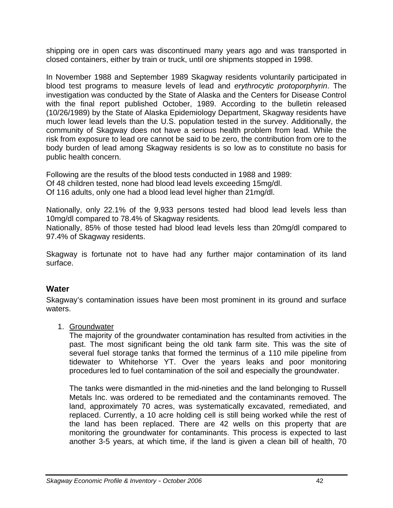shipping ore in open cars was discontinued many years ago and was transported in closed containers, either by train or truck, until ore shipments stopped in 1998.

In November 1988 and September 1989 Skagway residents voluntarily participated in blood test programs to measure levels of lead and *erythrocytic protoporphyrin*. The investigation was conducted by the State of Alaska and the Centers for Disease Control with the final report published October, 1989. According to the bulletin released (10/26/1989) by the State of Alaska Epidemiology Department, Skagway residents have much lower lead levels than the U.S. population tested in the survey. Additionally, the community of Skagway does not have a serious health problem from lead. While the risk from exposure to lead ore cannot be said to be zero, the contribution from ore to the body burden of lead among Skagway residents is so low as to constitute no basis for public health concern.

Following are the results of the blood tests conducted in 1988 and 1989: Of 48 children tested, none had blood lead levels exceeding 15mg/dl. Of 116 adults, only one had a blood lead level higher than 21mg/dl.

Nationally, only 22.1% of the 9,933 persons tested had blood lead levels less than 10mg/dl compared to 78.4% of Skagway residents.

Nationally, 85% of those tested had blood lead levels less than 20mg/dl compared to 97.4% of Skagway residents.

Skagway is fortunate not to have had any further major contamination of its land surface.

### **Water**

Skagway's contamination issues have been most prominent in its ground and surface waters.

1. Groundwater

The majority of the groundwater contamination has resulted from activities in the past. The most significant being the old tank farm site. This was the site of several fuel storage tanks that formed the terminus of a 110 mile pipeline from tidewater to Whitehorse YT. Over the years leaks and poor monitoring procedures led to fuel contamination of the soil and especially the groundwater.

The tanks were dismantled in the mid-nineties and the land belonging to Russell Metals Inc. was ordered to be remediated and the contaminants removed. The land, approximately 70 acres, was systematically excavated, remediated, and replaced. Currently, a 10 acre holding cell is still being worked while the rest of the land has been replaced. There are 42 wells on this property that are monitoring the groundwater for contaminants. This process is expected to last another 3-5 years, at which time, if the land is given a clean bill of health, 70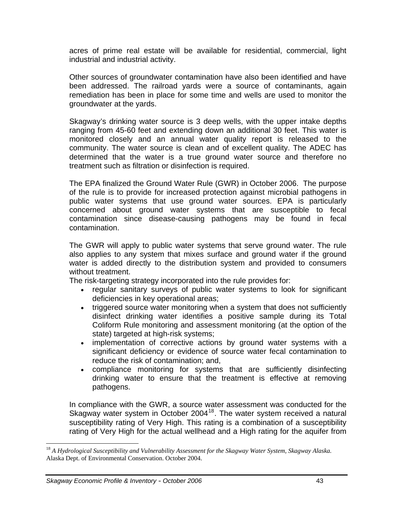acres of prime real estate will be available for residential, commercial, light industrial and industrial activity.

Other sources of groundwater contamination have also been identified and have been addressed. The railroad yards were a source of contaminants, again remediation has been in place for some time and wells are used to monitor the groundwater at the yards.

Skagway's drinking water source is 3 deep wells, with the upper intake depths ranging from 45-60 feet and extending down an additional 30 feet. This water is monitored closely and an annual water quality report is released to the community. The water source is clean and of excellent quality. The ADEC has determined that the water is a true ground water source and therefore no treatment such as filtration or disinfection is required.

The EPA finalized the Ground Water Rule (GWR) in October 2006. The purpose of the rule is to provide for increased protection against microbial pathogens in public water systems that use ground water sources. EPA is particularly concerned about ground water systems that are susceptible to fecal contamination since disease-causing pathogens may be found in fecal contamination.

The GWR will apply to public water systems that serve ground water. The rule also applies to any system that mixes surface and ground water if the ground water is added directly to the distribution system and provided to consumers without treatment.

The risk-targeting strategy incorporated into the rule provides for:

- regular sanitary surveys of public water systems to look for significant deficiencies in key operational areas;
- triggered source water monitoring when a system that does not sufficiently disinfect drinking water identifies a positive sample during its Total Coliform Rule monitoring and assessment monitoring (at the option of the state) targeted at high-risk systems;
- implementation of corrective actions by ground water systems with a significant deficiency or evidence of source water fecal contamination to reduce the risk of contamination; and,
- compliance monitoring for systems that are sufficiently disinfecting drinking water to ensure that the treatment is effective at removing pathogens.

In compliance with the GWR, a source water assessment was conducted for the Skagway water system in October 2004<sup>[18](#page-67-0)</sup>. The water system received a natural susceptibility rating of Very High. This rating is a combination of a susceptibility rating of Very High for the actual wellhead and a High rating for the aquifer from

 $\overline{a}$ 

<span id="page-67-0"></span><sup>18</sup> *A Hydrological Susceptibility and Vulnerability Assessment for the Skagway Water System, Skagway Alaska.* Alaska Dept. of Environmental Conservation. October 2004.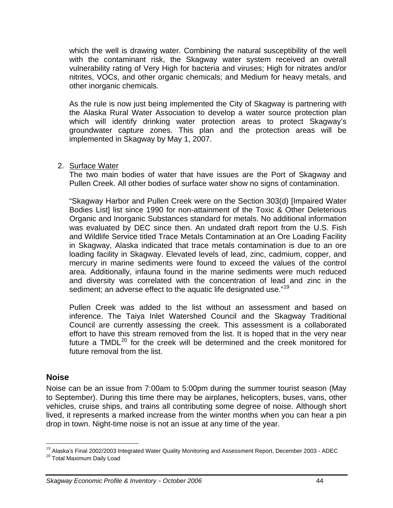which the well is drawing water. Combining the natural susceptibility of the well with the contaminant risk, the Skagway water system received an overall vulnerability rating of Very High for bacteria and viruses; High for nitrates and/or nitrites, VOCs, and other organic chemicals; and Medium for heavy metals, and other inorganic chemicals.

As the rule is now just being implemented the City of Skagway is partnering with the Alaska Rural Water Association to develop a water source protection plan which will identify drinking water protection areas to protect Skagway's groundwater capture zones. This plan and the protection areas will be implemented in Skagway by May 1, 2007.

#### 2. Surface Water

The two main bodies of water that have issues are the Port of Skagway and Pullen Creek. All other bodies of surface water show no signs of contamination.

"Skagway Harbor and Pullen Creek were on the Section 303(d) [Impaired Water Bodies List] list since 1990 for non-attainment of the Toxic & Other Deleterious Organic and Inorganic Substances standard for metals. No additional information was evaluated by DEC since then. An undated draft report from the U.S. Fish and Wildlife Service titled Trace Metals Contamination at an Ore Loading Facility in Skagway, Alaska indicated that trace metals contamination is due to an ore loading facility in Skagway. Elevated levels of lead, zinc, cadmium, copper, and mercury in marine sediments were found to exceed the values of the control area. Additionally, infauna found in the marine sediments were much reduced and diversity was correlated with the concentration of lead and zinc in the sediment; an adverse effect to the aquatic life designated use."<sup>[19](#page-68-0)</sup>

Pullen Creek was added to the list without an assessment and based on inference. The Taiya Inlet Watershed Council and the Skagway Traditional Council are currently assessing the creek. This assessment is a collaborated effort to have this stream removed from the list. It is hoped that in the very near future a  $TMDL<sup>20</sup>$  $TMDL<sup>20</sup>$  $TMDL<sup>20</sup>$  for the creek will be determined and the creek monitored for future removal from the list.

#### **Noise**

 $\overline{a}$ 

Noise can be an issue from 7:00am to 5:00pm during the summer tourist season (May to September). During this time there may be airplanes, helicopters, buses, vans, other vehicles, cruise ships, and trains all contributing some degree of noise. Although short lived, it represents a marked increase from the winter months when you can hear a pin drop in town. Night-time noise is not an issue at any time of the year.

<span id="page-68-0"></span><sup>&</sup>lt;sup>19</sup> Alaska's Final 2002/2003 Integrated Water Quality Monitoring and Assessment Report, December 2003 - ADEC

<span id="page-68-1"></span><sup>&</sup>lt;sup>20</sup> Total Maximum Daily Load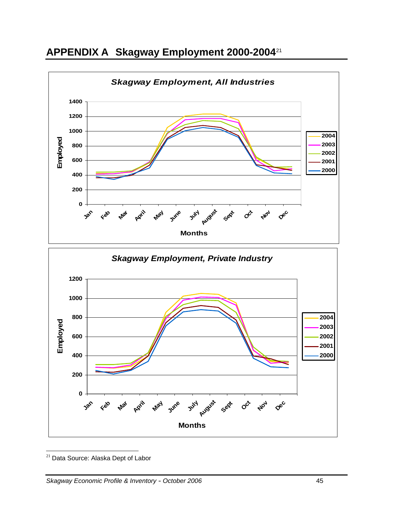

# **APPENDIX A Skagway Employment 2000-2004**[21](#page-69-0)

<u>.</u>

<span id="page-69-0"></span><sup>&</sup>lt;sup>21</sup> Data Source: Alaska Dept of Labor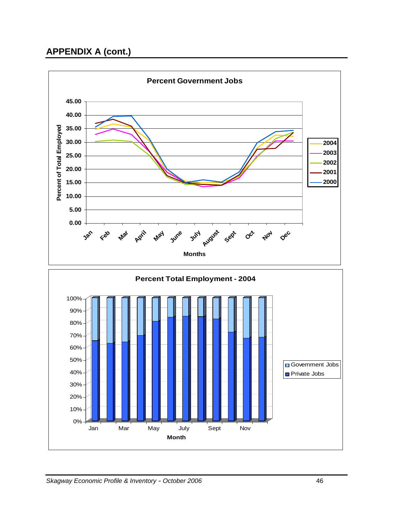## **APPENDIX A (cont.)**

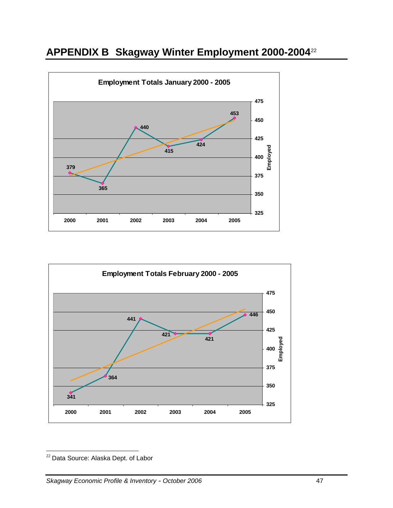# **APPENDIX B Skagway Winter Employment 2000-2004**[22](#page-71-0)





<span id="page-71-0"></span> $\overline{a}$ Data Source: Alaska Dept. of Labor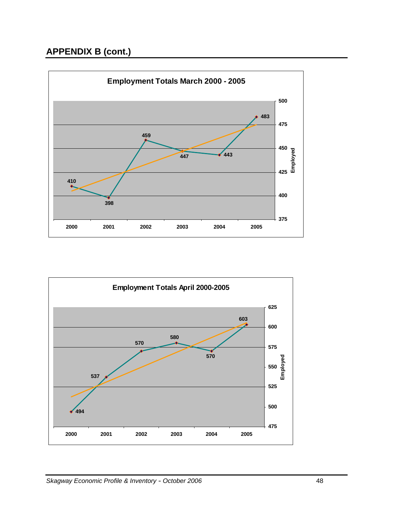## **APPENDIX B (cont.)**



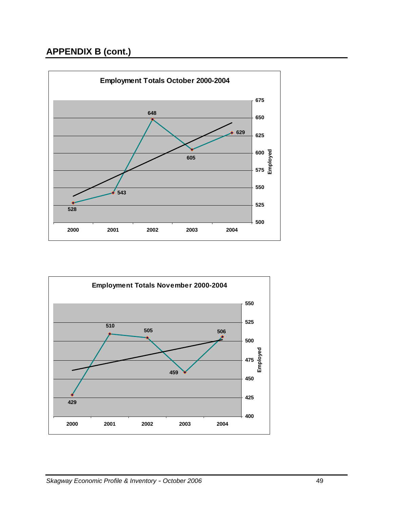## **APPENDIX B (cont.)**



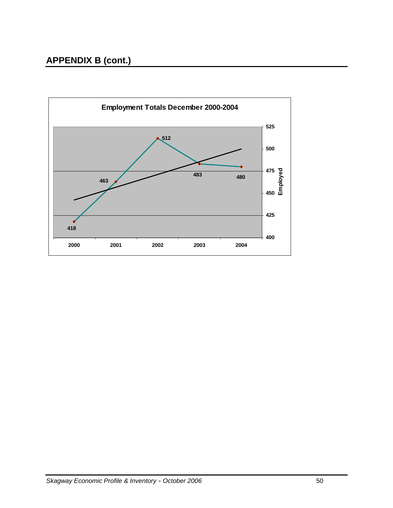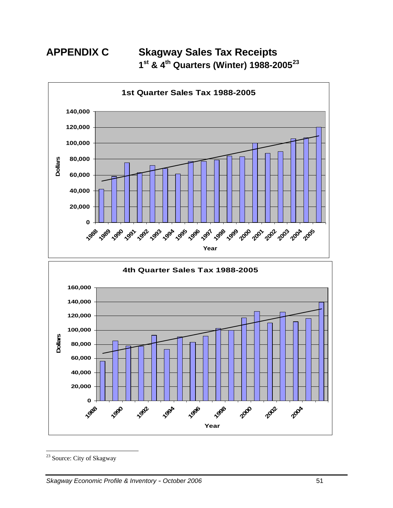**APPENDIX C Skagway Sales Tax Receipts 1st & 4th Quarters (Winter) 1988-2005[23](#page-75-0)**



<span id="page-75-0"></span><sup>&</sup>lt;sup>23</sup> Source: City of Skagway

<u>.</u>